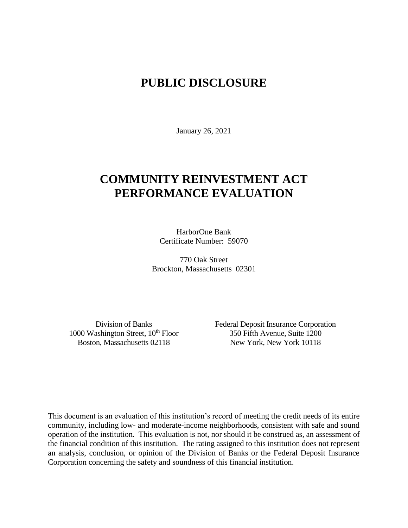# **PUBLIC DISCLOSURE**

January 26, 2021

# **COMMUNITY REINVESTMENT ACT PERFORMANCE EVALUATION**

HarborOne Bank Certificate Number: 59070

770 Oak Street Brockton, Massachusetts 02301

1000 Washington Street, 10<sup>th</sup> Floor 350 Fifth Avenue, Suite 1200

Division of Banks Federal Deposit Insurance Corporation Boston, Massachusetts 02118 New York, New York 10118

This document is an evaluation of this institution's record of meeting the credit needs of its entire community, including low- and moderate-income neighborhoods, consistent with safe and sound operation of the institution.This evaluation is not, nor should it be construed as, an assessment of the financial condition of this institution. The rating assigned to this institution does not represent an analysis, conclusion, or opinion of the Division of Banks or the Federal Deposit Insurance Corporation concerning the safety and soundness of this financial institution.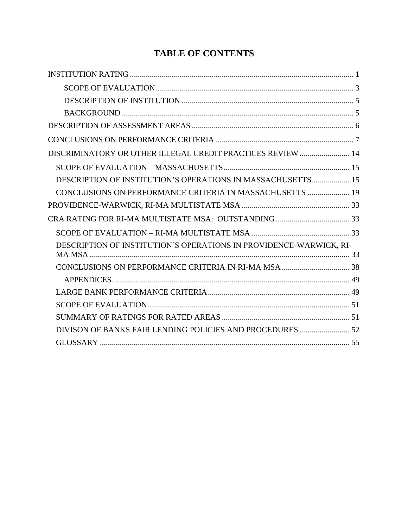# **TABLE OF CONTENTS**

| DISCRIMINATORY OR OTHER ILLEGAL CREDIT PRACTICES REVIEW  14        |
|--------------------------------------------------------------------|
|                                                                    |
| DESCRIPTION OF INSTITUTION'S OPERATIONS IN MASSACHUSETTS 15        |
| CONCLUSIONS ON PERFORMANCE CRITERIA IN MASSACHUSETTS  19           |
|                                                                    |
|                                                                    |
|                                                                    |
| DESCRIPTION OF INSTITUTION'S OPERATIONS IN PROVIDENCE-WARWICK, RI- |
|                                                                    |
|                                                                    |
|                                                                    |
|                                                                    |
|                                                                    |
|                                                                    |
| DIVISON OF BANKS FAIR LENDING POLICIES AND PROCEDURES  52          |
|                                                                    |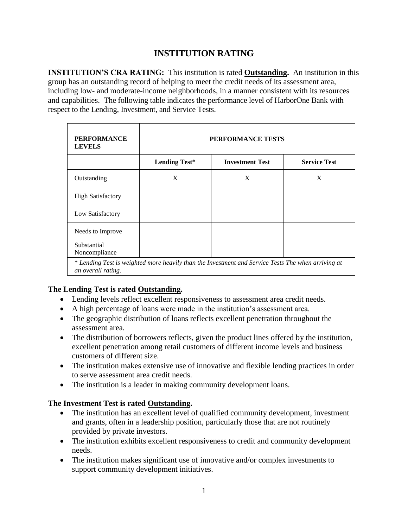# **INSTITUTION RATING**

<span id="page-2-0"></span>**INSTITUTION'S CRA RATING:** This institution is rated **Outstanding.** An institution in this group has an outstanding record of helping to meet the credit needs of its assessment area, including low- and moderate-income neighborhoods, in a manner consistent with its resources and capabilities. The following table indicates the performance level of HarborOne Bank with respect to the Lending, Investment, and Service Tests.

| <b>PERFORMANCE</b><br><b>LEVELS</b> | PERFORMANCE TESTS    |                                                                                                    |                     |  |  |  |  |  |  |
|-------------------------------------|----------------------|----------------------------------------------------------------------------------------------------|---------------------|--|--|--|--|--|--|
|                                     | <b>Lending Test*</b> | <b>Investment Test</b>                                                                             | <b>Service Test</b> |  |  |  |  |  |  |
| Outstanding                         | X                    | X                                                                                                  | X                   |  |  |  |  |  |  |
| <b>High Satisfactory</b>            |                      |                                                                                                    |                     |  |  |  |  |  |  |
| Low Satisfactory                    |                      |                                                                                                    |                     |  |  |  |  |  |  |
| Needs to Improve                    |                      |                                                                                                    |                     |  |  |  |  |  |  |
| Substantial<br>Noncompliance        |                      |                                                                                                    |                     |  |  |  |  |  |  |
| an overall rating.                  |                      | * Lending Test is weighted more heavily than the Investment and Service Tests The when arriving at |                     |  |  |  |  |  |  |

## **The Lending Test is rated Outstanding.**

- Lending levels reflect excellent responsiveness to assessment area credit needs.
- A high percentage of loans were made in the institution's assessment area.
- The geographic distribution of loans reflects excellent penetration throughout the assessment area.
- The distribution of borrowers reflects, given the product lines offered by the institution, excellent penetration among retail customers of different income levels and business customers of different size.
- The institution makes extensive use of innovative and flexible lending practices in order to serve assessment area credit needs.
- The institution is a leader in making community development loans.

## **The Investment Test is rated Outstanding.**

- The institution has an excellent level of qualified community development, investment and grants, often in a leadership position, particularly those that are not routinely provided by private investors.
- The institution exhibits excellent responsiveness to credit and community development needs.
- The institution makes significant use of innovative and/or complex investments to support community development initiatives.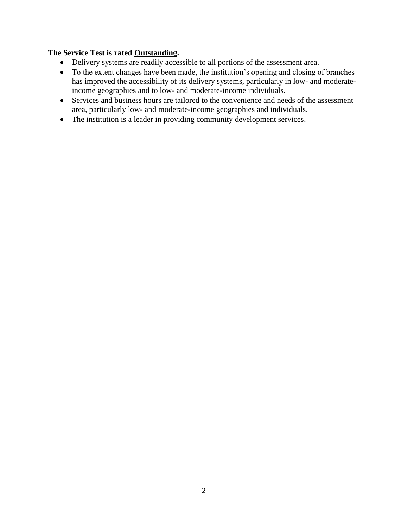### **The Service Test is rated Outstanding.**

- Delivery systems are readily accessible to all portions of the assessment area.
- To the extent changes have been made, the institution's opening and closing of branches has improved the accessibility of its delivery systems, particularly in low- and moderateincome geographies and to low- and moderate-income individuals.
- Services and business hours are tailored to the convenience and needs of the assessment area, particularly low- and moderate-income geographies and individuals.
- The institution is a leader in providing community development services.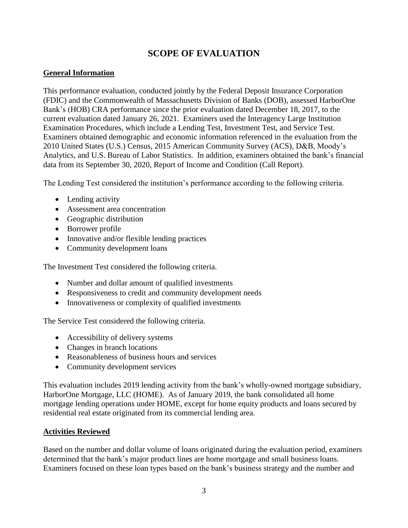# **SCOPE OF EVALUATION**

## <span id="page-4-0"></span>**General Information**

This performance evaluation, conducted jointly by the Federal Deposit Insurance Corporation (FDIC) and the Commonwealth of Massachusetts Division of Banks (DOB), assessed HarborOne Bank's (HOB) CRA performance since the prior evaluation dated December 18, 2017, to the current evaluation dated January 26, 2021. Examiners used the Interagency Large Institution Examination Procedures, which include a Lending Test, Investment Test, and Service Test. Examiners obtained demographic and economic information referenced in the evaluation from the 2010 United States (U.S.) Census, 2015 American Community Survey (ACS), D&B, Moody's Analytics, and U.S. Bureau of Labor Statistics. In addition, examiners obtained the bank's financial data from its September 30, 2020, Report of Income and Condition (Call Report).

The Lending Test considered the institution's performance according to the following criteria.

- Lending activity
- Assessment area concentration
- Geographic distribution
- Borrower profile
- Innovative and/or flexible lending practices
- Community development loans

The Investment Test considered the following criteria.

- Number and dollar amount of qualified investments
- Responsiveness to credit and community development needs
- Innovativeness or complexity of qualified investments

The Service Test considered the following criteria.

- Accessibility of delivery systems
- Changes in branch locations
- Reasonableness of business hours and services
- Community development services

This evaluation includes 2019 lending activity from the bank's wholly-owned mortgage subsidiary, HarborOne Mortgage, LLC (HOME). As of January 2019, the bank consolidated all home mortgage lending operations under HOME, except for home equity products and loans secured by residential real estate originated from its commercial lending area.

## **Activities Reviewed**

Based on the number and dollar volume of loans originated during the evaluation period, examiners determined that the bank's major product lines are home mortgage and small business loans. Examiners focused on these loan types based on the bank's business strategy and the number and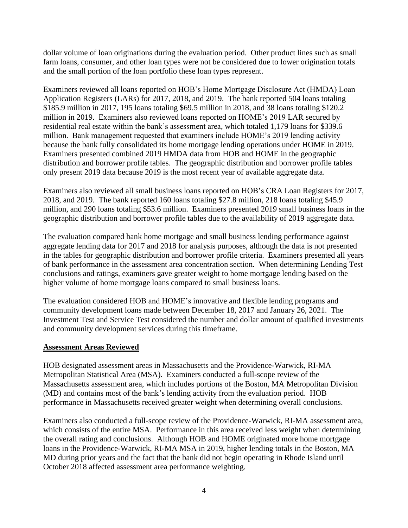dollar volume of loan originations during the evaluation period. Other product lines such as small farm loans, consumer, and other loan types were not be considered due to lower origination totals and the small portion of the loan portfolio these loan types represent.

Examiners reviewed all loans reported on HOB's Home Mortgage Disclosure Act (HMDA) Loan Application Registers (LARs) for 2017, 2018, and 2019. The bank reported 504 loans totaling \$185.9 million in 2017, 195 loans totaling \$69.5 million in 2018, and 38 loans totaling \$120.2 million in 2019. Examiners also reviewed loans reported on HOME's 2019 LAR secured by residential real estate within the bank's assessment area, which totaled 1,179 loans for \$339.6 million. Bank management requested that examiners include HOME's 2019 lending activity because the bank fully consolidated its home mortgage lending operations under HOME in 2019. Examiners presented combined 2019 HMDA data from HOB and HOME in the geographic distribution and borrower profile tables. The geographic distribution and borrower profile tables only present 2019 data because 2019 is the most recent year of available aggregate data.

Examiners also reviewed all small business loans reported on HOB's CRA Loan Registers for 2017, 2018, and 2019. The bank reported 160 loans totaling \$27.8 million, 218 loans totaling \$45.9 million, and 290 loans totaling \$53.6 million. Examiners presented 2019 small business loans in the geographic distribution and borrower profile tables due to the availability of 2019 aggregate data.

The evaluation compared bank home mortgage and small business lending performance against aggregate lending data for 2017 and 2018 for analysis purposes, although the data is not presented in the tables for geographic distribution and borrower profile criteria. Examiners presented all years of bank performance in the assessment area concentration section. When determining Lending Test conclusions and ratings, examiners gave greater weight to home mortgage lending based on the higher volume of home mortgage loans compared to small business loans.

The evaluation considered HOB and HOME's innovative and flexible lending programs and community development loans made between December 18, 2017 and January 26, 2021. The Investment Test and Service Test considered the number and dollar amount of qualified investments and community development services during this timeframe.

#### **Assessment Areas Reviewed**

HOB designated assessment areas in Massachusetts and the Providence-Warwick, RI-MA Metropolitan Statistical Area (MSA). Examiners conducted a full-scope review of the Massachusetts assessment area, which includes portions of the Boston, MA Metropolitan Division (MD) and contains most of the bank's lending activity from the evaluation period. HOB performance in Massachusetts received greater weight when determining overall conclusions.

Examiners also conducted a full-scope review of the Providence-Warwick, RI-MA assessment area, which consists of the entire MSA. Performance in this area received less weight when determining the overall rating and conclusions. Although HOB and HOME originated more home mortgage loans in the Providence-Warwick, RI-MA MSA in 2019, higher lending totals in the Boston, MA MD during prior years and the fact that the bank did not begin operating in Rhode Island until October 2018 affected assessment area performance weighting.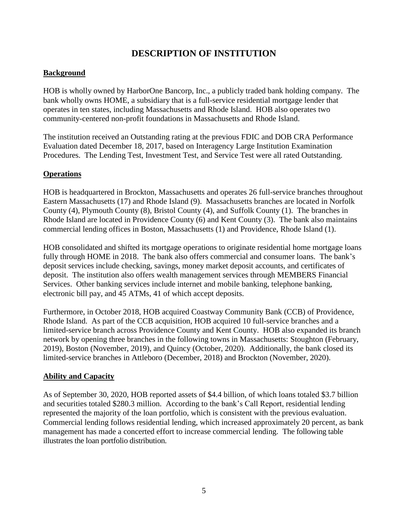# **DESCRIPTION OF INSTITUTION**

## <span id="page-6-1"></span><span id="page-6-0"></span>**Background**

HOB is wholly owned by HarborOne Bancorp, Inc., a publicly traded bank holding company. The bank wholly owns HOME, a subsidiary that is a full-service residential mortgage lender that operates in ten states, including Massachusetts and Rhode Island. HOB also operates two community-centered non-profit foundations in Massachusetts and Rhode Island.

The institution received an Outstanding rating at the previous FDIC and DOB CRA Performance Evaluation dated December 18, 2017, based on Interagency Large Institution Examination Procedures. The Lending Test, Investment Test, and Service Test were all rated Outstanding.

## **Operations**

HOB is headquartered in Brockton, Massachusetts and operates 26 full-service branches throughout Eastern Massachusetts (17) and Rhode Island (9). Massachusetts branches are located in Norfolk County (4), Plymouth County (8), Bristol County (4), and Suffolk County (1). The branches in Rhode Island are located in Providence County (6) and Kent County (3). The bank also maintains commercial lending offices in Boston, Massachusetts (1) and Providence, Rhode Island (1).

HOB consolidated and shifted its mortgage operations to originate residential home mortgage loans fully through HOME in 2018. The bank also offers commercial and consumer loans. The bank's deposit services include checking, savings, money market deposit accounts, and certificates of deposit. The institution also offers wealth management services through MEMBERS Financial Services. Other banking services include internet and mobile banking, telephone banking, electronic bill pay, and 45 ATMs, 41 of which accept deposits.

Furthermore, in October 2018, HOB acquired Coastway Community Bank (CCB) of Providence, Rhode Island. As part of the CCB acquisition, HOB acquired 10 full-service branches and a limited-service branch across Providence County and Kent County. HOB also expanded its branch network by opening three branches in the following towns in Massachusetts: Stoughton (February, 2019), Boston (November, 2019), and Quincy (October, 2020). Additionally, the bank closed its limited-service branches in Attleboro (December, 2018) and Brockton (November, 2020).

## **Ability and Capacity**

As of September 30, 2020, HOB reported assets of \$4.4 billion, of which loans totaled \$3.7 billion and securities totaled \$280.3 million. According to the bank's Call Report, residential lending represented the majority of the loan portfolio, which is consistent with the previous evaluation. Commercial lending follows residential lending, which increased approximately 20 percent, as bank management has made a concerted effort to increase commercial lending. The following table illustrates the loan portfolio distribution.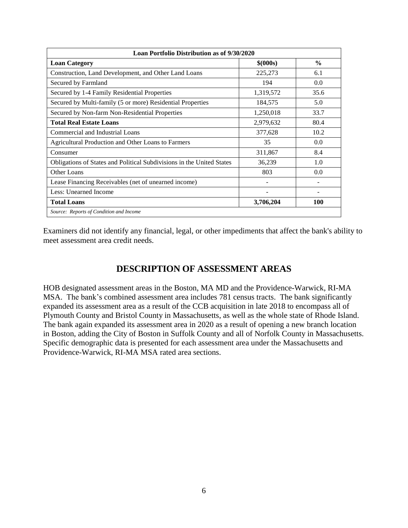| Loan Portfolio Distribution as of 9/30/2020                           |           |               |  |  |  |  |  |
|-----------------------------------------------------------------------|-----------|---------------|--|--|--|--|--|
| <b>Loan Category</b>                                                  | \$ (000s) | $\frac{0}{0}$ |  |  |  |  |  |
| Construction, Land Development, and Other Land Loans                  | 225,273   | 6.1           |  |  |  |  |  |
| Secured by Farmland                                                   | 194       | 0.0           |  |  |  |  |  |
| Secured by 1-4 Family Residential Properties                          | 1,319,572 | 35.6          |  |  |  |  |  |
| Secured by Multi-family (5 or more) Residential Properties            | 184,575   | 5.0           |  |  |  |  |  |
| Secured by Non-farm Non-Residential Properties                        | 1,250,018 | 33.7          |  |  |  |  |  |
| <b>Total Real Estate Loans</b>                                        | 2,979,632 | 80.4          |  |  |  |  |  |
| Commercial and Industrial Loans                                       | 377,628   | 10.2          |  |  |  |  |  |
| Agricultural Production and Other Loans to Farmers                    | 35        | 0.0           |  |  |  |  |  |
| Consumer                                                              | 311,867   | 8.4           |  |  |  |  |  |
| Obligations of States and Political Subdivisions in the United States | 36,239    | 1.0           |  |  |  |  |  |
| Other Loans                                                           | 803       | 0.0           |  |  |  |  |  |
| Lease Financing Receivables (net of unearned income)                  |           |               |  |  |  |  |  |
| Less: Unearned Income                                                 |           |               |  |  |  |  |  |
| <b>Total Loans</b>                                                    | 3,706,204 | <b>100</b>    |  |  |  |  |  |
| Source: Reports of Condition and Income                               |           |               |  |  |  |  |  |

Examiners did not identify any financial, legal, or other impediments that affect the bank's ability to meet assessment area credit needs.

# **DESCRIPTION OF ASSESSMENT AREAS**

<span id="page-7-0"></span>HOB designated assessment areas in the Boston, MA MD and the Providence-Warwick, RI-MA MSA. The bank's combined assessment area includes 781 census tracts. The bank significantly expanded its assessment area as a result of the CCB acquisition in late 2018 to encompass all of Plymouth County and Bristol County in Massachusetts, as well as the whole state of Rhode Island. The bank again expanded its assessment area in 2020 as a result of opening a new branch location in Boston, adding the City of Boston in Suffolk County and all of Norfolk County in Massachusetts. Specific demographic data is presented for each assessment area under the Massachusetts and Providence-Warwick, RI-MA MSA rated area sections.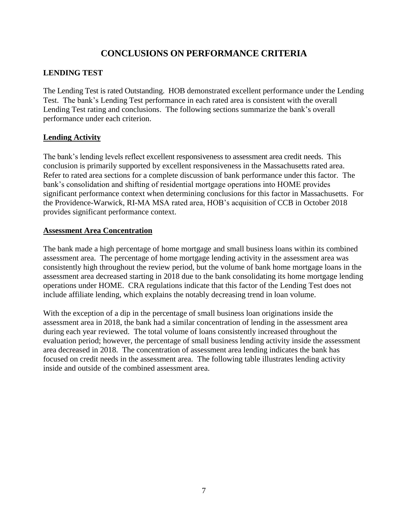# **CONCLUSIONS ON PERFORMANCE CRITERIA**

## <span id="page-8-0"></span>**LENDING TEST**

The Lending Test is rated Outstanding. HOB demonstrated excellent performance under the Lending Test. The bank's Lending Test performance in each rated area is consistent with the overall Lending Test rating and conclusions. The following sections summarize the bank's overall performance under each criterion.

## **Lending Activity**

The bank's lending levels reflect excellent responsiveness to assessment area credit needs. This conclusion is primarily supported by excellent responsiveness in the Massachusetts rated area. Refer to rated area sections for a complete discussion of bank performance under this factor. The bank's consolidation and shifting of residential mortgage operations into HOME provides significant performance context when determining conclusions for this factor in Massachusetts. For the Providence-Warwick, RI-MA MSA rated area, HOB's acquisition of CCB in October 2018 provides significant performance context.

## **Assessment Area Concentration**

The bank made a high percentage of home mortgage and small business loans within its combined assessment area. The percentage of home mortgage lending activity in the assessment area was consistently high throughout the review period, but the volume of bank home mortgage loans in the assessment area decreased starting in 2018 due to the bank consolidating its home mortgage lending operations under HOME. CRA regulations indicate that this factor of the Lending Test does not include affiliate lending, which explains the notably decreasing trend in loan volume.

With the exception of a dip in the percentage of small business loan originations inside the assessment area in 2018, the bank had a similar concentration of lending in the assessment area during each year reviewed. The total volume of loans consistently increased throughout the evaluation period; however, the percentage of small business lending activity inside the assessment area decreased in 2018. The concentration of assessment area lending indicates the bank has focused on credit needs in the assessment area. The following table illustrates lending activity inside and outside of the combined assessment area.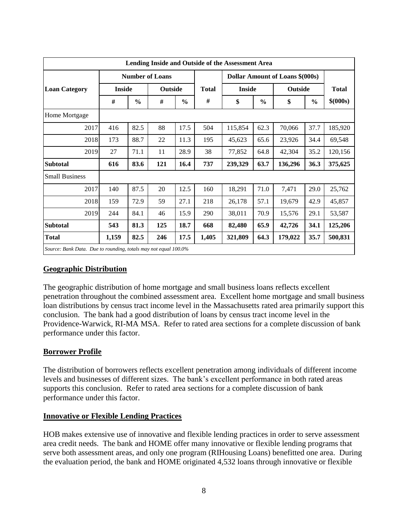| Lending Inside and Outside of the Assessment Area               |               |               |                        |               |              |               |               |                                        |               |              |
|-----------------------------------------------------------------|---------------|---------------|------------------------|---------------|--------------|---------------|---------------|----------------------------------------|---------------|--------------|
|                                                                 |               |               | <b>Number of Loans</b> |               |              |               |               | <b>Dollar Amount of Loans \$(000s)</b> |               |              |
| <b>Loan Category</b>                                            | <b>Inside</b> |               | <b>Outside</b>         |               | <b>Total</b> | <b>Inside</b> |               | <b>Outside</b>                         |               | <b>Total</b> |
|                                                                 | #             | $\frac{0}{0}$ | $\#$                   | $\frac{0}{0}$ | #            | \$            | $\frac{0}{0}$ | \$                                     | $\frac{0}{0}$ | \$ (000s)    |
| Home Mortgage                                                   |               |               |                        |               |              |               |               |                                        |               |              |
| 2017                                                            | 416           | 82.5          | 88                     | 17.5          | 504          | 115,854       | 62.3          | 70,066                                 | 37.7          | 185,920      |
| 2018                                                            | 173           | 88.7          | 22                     | 11.3          | 195          | 45,623        | 65.6          | 23,926                                 | 34.4          | 69,548       |
| 2019                                                            | 27            | 71.1          | 11                     | 28.9          | 38           | 77,852        | 64.8          | 42,304                                 | 35.2          | 120,156      |
| <b>Subtotal</b>                                                 | 616           | 83.6          | 121                    | 16.4          | 737          | 239,329       | 63.7          | 136,296                                | 36.3          | 375,625      |
| <b>Small Business</b>                                           |               |               |                        |               |              |               |               |                                        |               |              |
| 2017                                                            | 140           | 87.5          | 20                     | 12.5          | 160          | 18,291        | 71.0          | 7,471                                  | 29.0          | 25,762       |
| 2018                                                            | 159           | 72.9          | 59                     | 27.1          | 218          | 26,178        | 57.1          | 19,679                                 | 42.9          | 45,857       |
| 2019                                                            | 244           | 84.1          | 46                     | 15.9          | 290          | 38,011        | 70.9          | 15,576                                 | 29.1          | 53,587       |
| <b>Subtotal</b>                                                 | 543           | 81.3          | 125                    | 18.7          | 668          | 82,480        | 65.9          | 42,726                                 | 34.1          | 125,206      |
| <b>Total</b>                                                    | 1,159         | 82.5          | 246                    | 17.5          | 1,405        | 321,809       | 64.3          | 179,022                                | 35.7          | 500,831      |
| Source: Bank Data. Due to rounding, totals may not equal 100.0% |               |               |                        |               |              |               |               |                                        |               |              |

#### **Geographic Distribution**

The geographic distribution of home mortgage and small business loans reflects excellent penetration throughout the combined assessment area. Excellent home mortgage and small business loan distributions by census tract income level in the Massachusetts rated area primarily support this conclusion. The bank had a good distribution of loans by census tract income level in the Providence-Warwick, RI-MA MSA. Refer to rated area sections for a complete discussion of bank performance under this factor.

## **Borrower Profile**

The distribution of borrowers reflects excellent penetration among individuals of different income levels and businesses of different sizes. The bank's excellent performance in both rated areas supports this conclusion. Refer to rated area sections for a complete discussion of bank performance under this factor.

## **Innovative or Flexible Lending Practices**

HOB makes extensive use of innovative and flexible lending practices in order to serve assessment area credit needs. The bank and HOME offer many innovative or flexible lending programs that serve both assessment areas, and only one program (RIHousing Loans) benefitted one area. During the evaluation period, the bank and HOME originated 4,532 loans through innovative or flexible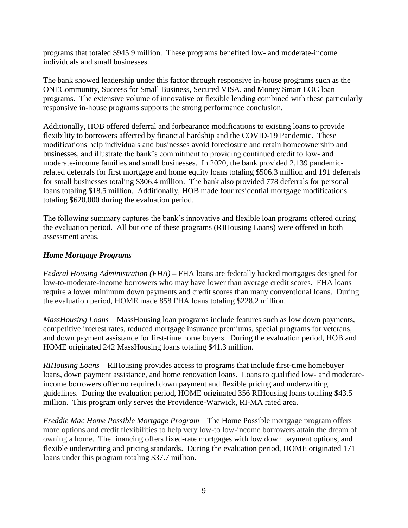programs that totaled \$945.9 million. These programs benefited low- and moderate-income individuals and small businesses.

The bank showed leadership under this factor through responsive in-house programs such as the ONECommunity, Success for Small Business, Secured VISA, and Money Smart LOC loan programs. The extensive volume of innovative or flexible lending combined with these particularly responsive in-house programs supports the strong performance conclusion.

Additionally, HOB offered deferral and forbearance modifications to existing loans to provide flexibility to borrowers affected by financial hardship and the COVID-19 Pandemic. These modifications help individuals and businesses avoid foreclosure and retain homeownership and businesses, and illustrate the bank's commitment to providing continued credit to low- and moderate-income families and small businesses. In 2020, the bank provided 2,139 pandemicrelated deferrals for first mortgage and home equity loans totaling \$506.3 million and 191 deferrals for small businesses totaling \$306.4 million. The bank also provided 778 deferrals for personal loans totaling \$18.5 million. Additionally, HOB made four residential mortgage modifications totaling \$620,000 during the evaluation period.

The following summary captures the bank's innovative and flexible loan programs offered during the evaluation period. All but one of these programs (RIHousing Loans) were offered in both assessment areas.

## *Home Mortgage Programs*

*Federal Housing Administration (FHA)* **–** FHA loans are federally backed mortgages designed for low-to-moderate-income borrowers who may have lower than average credit scores. FHA loans require a lower minimum down payments and credit scores than many conventional loans. During the evaluation period, HOME made 858 FHA loans totaling \$228.2 million.

*MassHousing Loans* – MassHousing loan programs include features such as low down payments, competitive interest rates, reduced mortgage insurance premiums, special programs for veterans, and down payment assistance for first-time home buyers. During the evaluation period, HOB and HOME originated 242 MassHousing loans totaling \$41.3 million.

*RIHousing Loans* – RIHousing provides access to programs that include first-time homebuyer loans, down payment assistance, and home renovation loans. Loans to qualified low- and moderateincome borrowers offer no required down payment and flexible pricing and underwriting guidelines. During the evaluation period, HOME originated 356 RIHousing loans totaling \$43.5 million. This program only serves the Providence-Warwick, RI-MA rated area.

*Freddie Mac Home Possible Mortgage Program –* The Home Possible mortgage program offers more options and credit flexibilities to help very low-to low-income borrowers attain the dream of owning a home. The financing offers fixed-rate mortgages with low down payment options, and flexible underwriting and pricing standards. During the evaluation period, HOME originated 171 loans under this program totaling \$37.7 million.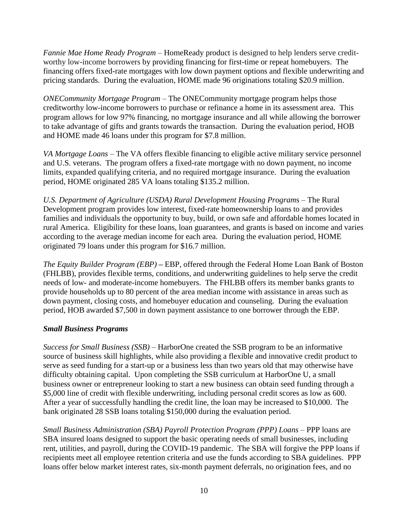*Fannie Mae Home Ready Program* – HomeReady product is designed to help lenders serve creditworthy low-income borrowers by providing financing for first-time or repeat homebuyers. The financing offers fixed-rate mortgages with low down payment options and flexible underwriting and pricing standards. During the evaluation, HOME made 96 originations totaling \$20.9 million.

*ONECommunity Mortgage Program* – The ONECommunity mortgage program helps those creditworthy low-income borrowers to purchase or refinance a home in its assessment area. This program allows for low 97% financing, no mortgage insurance and all while allowing the borrower to take advantage of gifts and grants towards the transaction. During the evaluation period, HOB and HOME made 46 loans under this program for \$7.8 million.

*VA Mortgage Loans* – The VA offers flexible financing to eligible active military service personnel and U.S. veterans. The program offers a fixed-rate mortgage with no down payment, no income limits, expanded qualifying criteria, and no required mortgage insurance. During the evaluation period, HOME originated 285 VA loans totaling \$135.2 million.

*U.S. Department of Agriculture (USDA) Rural Development Housing Program*s – The Rural Development program provides low interest, fixed-rate homeownership loans to and provides families and individuals the opportunity to buy, build, or own safe and affordable homes located in rural America. Eligibility for these loans, loan guarantees, and grants is based on income and varies according to the average median income for each area. During the evaluation period, HOME originated 79 loans under this program for \$16.7 million.

*The Equity Builder Program (EBP) –* EBP, offered through the Federal Home Loan Bank of Boston (FHLBB), provides flexible terms, conditions, and underwriting guidelines to help serve the credit needs of low- and moderate-income homebuyers. The FHLBB offers its member banks grants to provide households up to 80 percent of the area median income with assistance in areas such as down payment, closing costs, and homebuyer education and counseling. During the evaluation period, HOB awarded \$7,500 in down payment assistance to one borrower through the EBP.

## *Small Business Programs*

*Success for Small Business (SSB)* – HarborOne created the SSB program to be an informative source of business skill highlights, while also providing a flexible and innovative credit product to serve as seed funding for a start-up or a business less than two years old that may otherwise have difficulty obtaining capital. Upon completing the SSB curriculum at HarborOne U, a small business owner or entrepreneur looking to start a new business can obtain seed funding through a \$5,000 line of credit with flexible underwriting, including personal credit scores as low as 600. After a year of successfully handling the credit line, the loan may be increased to \$10,000. The bank originated 28 SSB loans totaling \$150,000 during the evaluation period.

*Small Business Administration (SBA) Payroll Protection Program (PPP) Loans* – PPP loans are SBA insured loans designed to support the basic operating needs of small businesses, including rent, utilities, and payroll, during the COVID-19 pandemic. The SBA will forgive the PPP loans if recipients meet all employee retention criteria and use the funds according to SBA guidelines. PPP loans offer below market interest rates, six-month payment deferrals, no origination fees, and no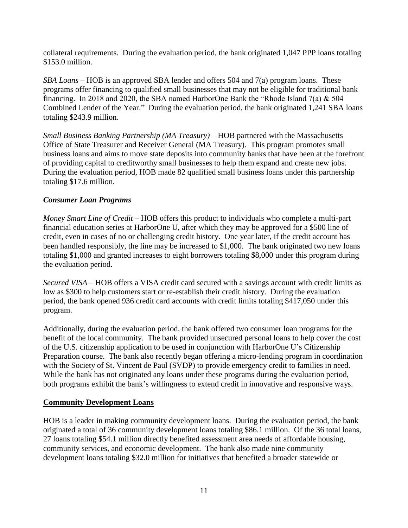collateral requirements. During the evaluation period, the bank originated 1,047 PPP loans totaling \$153.0 million.

*SBA Loans* – HOB is an approved SBA lender and offers 504 and 7(a) program loans. These programs offer financing to qualified small businesses that may not be eligible for traditional bank financing. In 2018 and 2020, the SBA named HarborOne Bank the "Rhode Island 7(a) & 504 Combined Lender of the Year." During the evaluation period, the bank originated 1,241 SBA loans totaling \$243.9 million.

*Small Business Banking Partnership (MA Treasury)* – HOB partnered with the Massachusetts Office of State Treasurer and Receiver General (MA Treasury). This program promotes small business loans and aims to move state deposits into community banks that have been at the forefront of providing capital to creditworthy small businesses to help them expand and create new jobs. During the evaluation period, HOB made 82 qualified small business loans under this partnership totaling \$17.6 million.

## *Consumer Loan Programs*

*Money Smart Line of Credit* – HOB offers this product to individuals who complete a multi-part financial education series at HarborOne U, after which they may be approved for a \$500 line of credit, even in cases of no or challenging credit history. One year later, if the credit account has been handled responsibly, the line may be increased to \$1,000. The bank originated two new loans totaling \$1,000 and granted increases to eight borrowers totaling \$8,000 under this program during the evaluation period.

*Secured VISA* – HOB offers a VISA credit card secured with a savings account with credit limits as low as \$300 to help customers start or re-establish their credit history. During the evaluation period, the bank opened 936 credit card accounts with credit limits totaling \$417,050 under this program.

Additionally, during the evaluation period, the bank offered two consumer loan programs for the benefit of the local community. The bank provided unsecured personal loans to help cover the cost of the U.S. citizenship application to be used in conjunction with HarborOne U's Citizenship Preparation course. The bank also recently began offering a micro-lending program in coordination with the Society of St. Vincent de Paul (SVDP) to provide emergency credit to families in need. While the bank has not originated any loans under these programs during the evaluation period, both programs exhibit the bank's willingness to extend credit in innovative and responsive ways.

## **Community Development Loans**

HOB is a leader in making community development loans. During the evaluation period, the bank originated a total of 36 community development loans totaling \$86.1 million. Of the 36 total loans, 27 loans totaling \$54.1 million directly benefited assessment area needs of affordable housing, community services, and economic development. The bank also made nine community development loans totaling \$32.0 million for initiatives that benefited a broader statewide or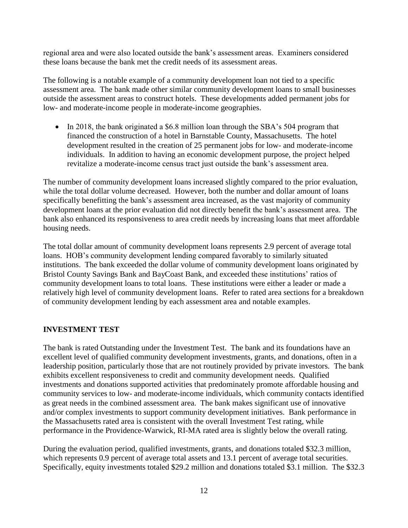regional area and were also located outside the bank's assessment areas. Examiners considered these loans because the bank met the credit needs of its assessment areas.

The following is a notable example of a community development loan not tied to a specific assessment area. The bank made other similar community development loans to small businesses outside the assessment areas to construct hotels. These developments added permanent jobs for low- and moderate-income people in moderate-income geographies.

• In 2018, the bank originated a \$6.8 million loan through the SBA's 504 program that financed the construction of a hotel in Barnstable County, Massachusetts. The hotel development resulted in the creation of 25 permanent jobs for low- and moderate-income individuals. In addition to having an economic development purpose, the project helped revitalize a moderate-income census tract just outside the bank's assessment area.

The number of community development loans increased slightly compared to the prior evaluation, while the total dollar volume decreased. However, both the number and dollar amount of loans specifically benefitting the bank's assessment area increased, as the vast majority of community development loans at the prior evaluation did not directly benefit the bank's assessment area. The bank also enhanced its responsiveness to area credit needs by increasing loans that meet affordable housing needs.

The total dollar amount of community development loans represents 2.9 percent of average total loans. HOB's community development lending compared favorably to similarly situated institutions. The bank exceeded the dollar volume of community development loans originated by Bristol County Savings Bank and BayCoast Bank, and exceeded these institutions' ratios of community development loans to total loans. These institutions were either a leader or made a relatively high level of community development loans. Refer to rated area sections for a breakdown of community development lending by each assessment area and notable examples.

## **INVESTMENT TEST**

The bank is rated Outstanding under the Investment Test. The bank and its foundations have an excellent level of qualified community development investments, grants, and donations, often in a leadership position, particularly those that are not routinely provided by private investors. The bank exhibits excellent responsiveness to credit and community development needs. Qualified investments and donations supported activities that predominately promote affordable housing and community services to low- and moderate-income individuals, which community contacts identified as great needs in the combined assessment area. The bank makes significant use of innovative and/or complex investments to support community development initiatives. Bank performance in the Massachusetts rated area is consistent with the overall Investment Test rating, while performance in the Providence-Warwick, RI-MA rated area is slightly below the overall rating.

During the evaluation period, qualified investments, grants, and donations totaled \$32.3 million, which represents 0.9 percent of average total assets and 13.1 percent of average total securities. Specifically, equity investments totaled \$29.2 million and donations totaled \$3.1 million. The \$32.3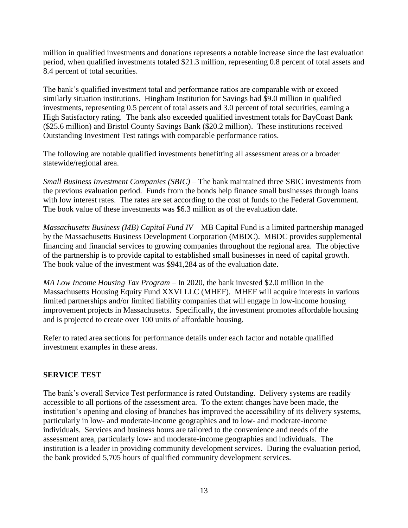million in qualified investments and donations represents a notable increase since the last evaluation period, when qualified investments totaled \$21.3 million, representing 0.8 percent of total assets and 8.4 percent of total securities.

The bank's qualified investment total and performance ratios are comparable with or exceed similarly situation institutions. Hingham Institution for Savings had \$9.0 million in qualified investments, representing 0.5 percent of total assets and 3.0 percent of total securities, earning a High Satisfactory rating. The bank also exceeded qualified investment totals for BayCoast Bank (\$25.6 million) and Bristol County Savings Bank (\$20.2 million). These institutions received Outstanding Investment Test ratings with comparable performance ratios.

The following are notable qualified investments benefitting all assessment areas or a broader statewide/regional area.

*Small Business Investment Companies (SBIC) –* The bank maintained three SBIC investments from the previous evaluation period. Funds from the bonds help finance small businesses through loans with low interest rates. The rates are set according to the cost of funds to the Federal Government. The book value of these investments was \$6.3 million as of the evaluation date.

*Massachusetts Business (MB) Capital Fund IV –* MB Capital Fund is a limited partnership managed by the Massachusetts Business Development Corporation (MBDC). MBDC provides supplemental financing and financial services to growing companies throughout the regional area. The objective of the partnership is to provide capital to established small businesses in need of capital growth. The book value of the investment was \$941,284 as of the evaluation date.

*MA Low Income Housing Tax Program –* In 2020, the bank invested \$2.0 million in the Massachusetts Housing Equity Fund XXVI LLC (MHEF). MHEF will acquire interests in various limited partnerships and/or limited liability companies that will engage in low-income housing improvement projects in Massachusetts. Specifically, the investment promotes affordable housing and is projected to create over 100 units of affordable housing.

Refer to rated area sections for performance details under each factor and notable qualified investment examples in these areas.

## **SERVICE TEST**

The bank's overall Service Test performance is rated Outstanding. Delivery systems are readily accessible to all portions of the assessment area. To the extent changes have been made, the institution's opening and closing of branches has improved the accessibility of its delivery systems, particularly in low- and moderate-income geographies and to low- and moderate-income individuals. Services and business hours are tailored to the convenience and needs of the assessment area, particularly low- and moderate-income geographies and individuals. The institution is a leader in providing community development services. During the evaluation period, the bank provided 5,705 hours of qualified community development services.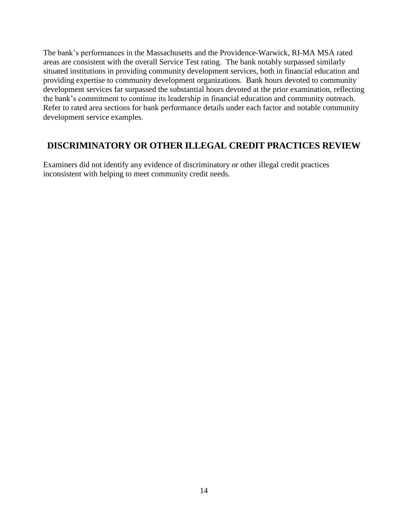The bank's performances in the Massachusetts and the Providence-Warwick, RI-MA MSA rated areas are consistent with the overall Service Test rating. The bank notably surpassed similarly situated institutions in providing community development services, both in financial education and providing expertise to community development organizations. Bank hours devoted to community development services far surpassed the substantial hours devoted at the prior examination, reflecting the bank's commitment to continue its leadership in financial education and community outreach. Refer to rated area sections for bank performance details under each factor and notable community development service examples.

## <span id="page-15-0"></span>**DISCRIMINATORY OR OTHER ILLEGAL CREDIT PRACTICES REVIEW**

Examiners did not identify any evidence of discriminatory or other illegal credit practices inconsistent with helping to meet community credit needs.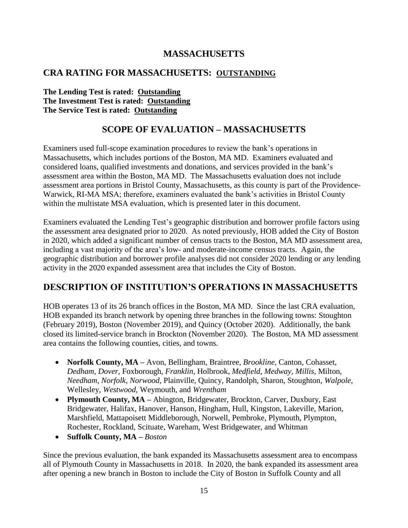# **MASSACHUSETTS**

## **CRA RATING FOR MASSACHUSETTS: OUTSTANDING**

**The Lending Test is rated: Outstanding The Investment Test is rated: Outstanding The Service Test is rated: Outstanding**

# **SCOPE OF EVALUATION – MASSACHUSETTS**

<span id="page-16-0"></span>Examiners used full-scope examination procedures to review the bank's operations in Massachusetts, which includes portions of the Boston, MA MD. Examiners evaluated and considered loans, qualified investments and donations, and services provided in the bank's assessment area within the Boston, MA MD. The Massachusetts evaluation does not include assessment area portions in Bristol County, Massachusetts, as this county is part of the Providence-Warwick, RI-MA MSA; therefore, examiners evaluated the bank's activities in Bristol County within the multistate MSA evaluation, which is presented later in this document.

Examiners evaluated the Lending Test's geographic distribution and borrower profile factors using the assessment area designated prior to 2020. As noted previously, HOB added the City of Boston in 2020, which added a significant number of census tracts to the Boston, MA MD assessment area, including a vast majority of the area's low- and moderate-income census tracts. Again, the geographic distribution and borrower profile analyses did not consider 2020 lending or any lending activity in the 2020 expanded assessment area that includes the City of Boston.

# <span id="page-16-1"></span>**DESCRIPTION OF INSTITUTION'S OPERATIONS IN MASSACHUSETTS**

HOB operates 13 of its 26 branch offices in the Boston, MA MD. Since the last CRA evaluation, HOB expanded its branch network by opening three branches in the following towns: Stoughton (February 2019), Boston (November 2019), and Quincy (October 2020). Additionally, the bank closed its limited-service branch in Brockton (November 2020). The Boston, MA MD assessment area contains the following counties, cities, and towns.

- **Norfolk County, MA –** Avon, Bellingham, Braintree, *Brookline*, Canton, Cohasset, *Dedham*, *Dover*, Foxborough, *Franklin*, Holbrook, *Medfield*, *Medway*, *Millis*, Milton, *Needham*, *Norfolk*, *Norwood*, Plainville, Quincy, Randolph, Sharon, Stoughton, *Walpole*, Wellesley, *Westwood*, Weymouth, and *Wrentham*
- **Plymouth County, MA –** Abington, Bridgewater, Brockton, Carver, Duxbury, East Bridgewater, Halifax, Hanover, Hanson, Hingham, Hull, Kingston, Lakeville, Marion, Marshfield, Mattapoisett Middleborough, Norwell, Pembroke, Plymouth, Plympton, Rochester, Rockland, Scituate, Wareham, West Bridgewater, and Whitman
- **Suffolk County, MA –** *Boston*

Since the previous evaluation, the bank expanded its Massachusetts assessment area to encompass all of Plymouth County in Massachusetts in 2018. In 2020, the bank expanded its assessment area after opening a new branch in Boston to include the City of Boston in Suffolk County and all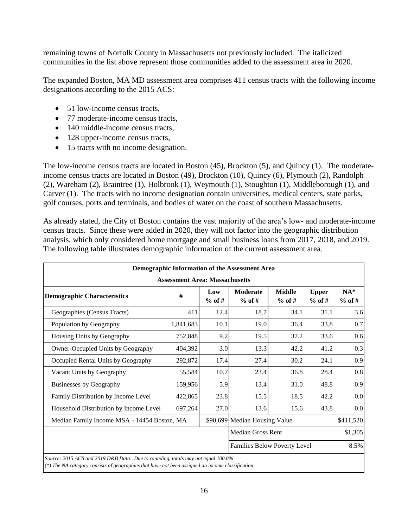remaining towns of Norfolk County in Massachusetts not previously included. The italicized communities in the list above represent those communities added to the assessment area in 2020.

The expanded Boston, MA MD assessment area comprises 411 census tracts with the following income designations according to the 2015 ACS:

- 51 low-income census tracts.
- 77 moderate-income census tracts,
- 140 middle-income census tracts,
- 128 upper-income census tracts,
- 15 tracts with no income designation.

The low-income census tracts are located in Boston (45), Brockton (5), and Quincy (1). The moderateincome census tracts are located in Boston (49), Brockton (10), Quincy (6), Plymouth (2), Randolph (2), Wareham (2), Braintree (1), Holbrook (1), Weymouth (1), Stoughton (1), Middleborough (1), and Carver (1). The tracts with no income designation contain universities, medical centers, state parks, golf courses, ports and terminals, and bodies of water on the coast of southern Massachusetts.

As already stated, the City of Boston contains the vast majority of the area's low- and moderate-income census tracts. Since these were added in 2020, they will not factor into the geographic distribution analysis, which only considered home mortgage and small business loans from 2017, 2018, and 2019. The following table illustrates demographic information of the current assessment area.

|                                                                                                                                                                                       | Demographic Information of the Assessment Area |                 |                                     |                           |                          |                   |  |  |  |  |
|---------------------------------------------------------------------------------------------------------------------------------------------------------------------------------------|------------------------------------------------|-----------------|-------------------------------------|---------------------------|--------------------------|-------------------|--|--|--|--|
| <b>Assessment Area: Massachusetts</b>                                                                                                                                                 |                                                |                 |                                     |                           |                          |                   |  |  |  |  |
| <b>Demographic Characteristics</b>                                                                                                                                                    | #                                              | Low<br>$%$ of # | <b>Moderate</b><br>$%$ of #         | <b>Middle</b><br>$%$ of # | <b>Upper</b><br>$%$ of # | $NA*$<br>$%$ of # |  |  |  |  |
| Geographies (Census Tracts)                                                                                                                                                           | 411                                            | 12.4            | 18.7                                | 34.1                      | 31.1                     | 3.6               |  |  |  |  |
| Population by Geography                                                                                                                                                               | 1,841,683                                      | 10.1            | 19.0                                | 36.4                      | 33.8                     | 0.7               |  |  |  |  |
| Housing Units by Geography                                                                                                                                                            | 752,848                                        | 9.2             | 19.5                                | 37.2                      | 33.6                     | 0.6               |  |  |  |  |
| Owner-Occupied Units by Geography                                                                                                                                                     | 404,392                                        | 3.0             | 13.3                                | 42.2                      | 41.2                     | 0.3               |  |  |  |  |
| Occupied Rental Units by Geography                                                                                                                                                    | 292,872                                        | 17.4            | 27.4                                | 30.2                      | 24.1                     | 0.9               |  |  |  |  |
| Vacant Units by Geography                                                                                                                                                             | 55,584                                         | 10.7            | 23.4                                | 36.8                      | 28.4                     | 0.8               |  |  |  |  |
| <b>Businesses by Geography</b>                                                                                                                                                        | 159,956                                        | 5.9             | 13.4                                | 31.0                      | 48.8                     | 0.9               |  |  |  |  |
| Family Distribution by Income Level                                                                                                                                                   | 422,865                                        | 23.8            | 15.5                                | 18.5                      | 42.2                     | 0.0               |  |  |  |  |
| Household Distribution by Income Level                                                                                                                                                | 697,264                                        | 27.0            | 13.6                                | 15.6                      | 43.8                     | 0.0               |  |  |  |  |
| Median Family Income MSA - 14454 Boston, MA                                                                                                                                           |                                                |                 | \$90,699 Median Housing Value       |                           |                          | \$411,520         |  |  |  |  |
|                                                                                                                                                                                       |                                                |                 | <b>Median Gross Rent</b>            |                           |                          | \$1,305           |  |  |  |  |
|                                                                                                                                                                                       |                                                |                 | <b>Families Below Poverty Level</b> |                           |                          | 8.5%              |  |  |  |  |
| Source: 2015 ACS and 2019 D&B Data. Due to rounding, totals may not equal 100.0%<br>(*) The NA category consists of geographies that have not been assigned an income classification. |                                                |                 |                                     |                           |                          |                   |  |  |  |  |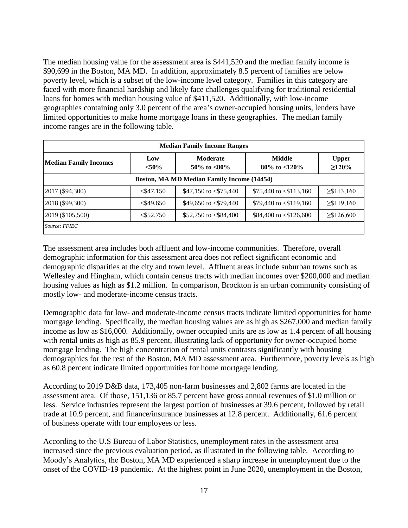The median housing value for the assessment area is \$441,520 and the median family income is \$90,699 in the Boston, MA MD. In addition, approximately 8.5 percent of families are below poverty level, which is a subset of the low-income level category. Families in this category are faced with more financial hardship and likely face challenges qualifying for traditional residential loans for homes with median housing value of \$411,520. Additionally, with low-income geographies containing only 3.0 percent of the area's owner-occupied housing units, lenders have limited opportunities to make home mortgage loans in these geographies. The median family income ranges are in the following table.

| <b>Median Family Income Ranges</b>         |                 |                                    |                              |                             |  |  |  |  |  |  |
|--------------------------------------------|-----------------|------------------------------------|------------------------------|-----------------------------|--|--|--|--|--|--|
| <b>Median Family Incomes</b>               | Low<br>$< 50\%$ | <b>Moderate</b><br>50\% to $<80\%$ | Middle<br>80\% to $<$ 120\%  | <b>Upper</b><br>$\geq$ 120% |  |  |  |  |  |  |
| Boston, MA MD Median Family Income (14454) |                 |                                    |                              |                             |  |  |  |  |  |  |
| 2017 (\$94,300)                            | $<$ \$47,150    | \$47,150 to $< $75,440$            | \$75,440 to $\leq$ \$113,160 | $\geq$ \$113,160            |  |  |  |  |  |  |
| 2018 (\$99,300)                            | $<$ \$49,650    | \$49,650 to $\langle$ \$79,440     | \$79,440 to $\leq$ \$119,160 | $\geq$ \$119,160            |  |  |  |  |  |  |
| 2019 (\$105,500)                           | $<$ \$52,750    | \$52,750 to $< $84,400$            | \$84,400 to $\leq$ \$126,600 | $\geq$ \$126,600            |  |  |  |  |  |  |
| Source: FFIEC                              |                 |                                    |                              |                             |  |  |  |  |  |  |

The assessment area includes both affluent and low-income communities. Therefore, overall demographic information for this assessment area does not reflect significant economic and demographic disparities at the city and town level. Affluent areas include suburban towns such as Wellesley and Hingham, which contain census tracts with median incomes over \$200,000 and median housing values as high as \$1.2 million. In comparison, Brockton is an urban community consisting of mostly low- and moderate-income census tracts.

Demographic data for low- and moderate-income census tracts indicate limited opportunities for home mortgage lending. Specifically, the median housing values are as high as \$267,000 and median family income as low as \$16,000. Additionally, owner occupied units are as low as 1.4 percent of all housing with rental units as high as 85.9 percent, illustrating lack of opportunity for owner-occupied home mortgage lending. The high concentration of rental units contrasts significantly with housing demographics for the rest of the Boston, MA MD assessment area. Furthermore, poverty levels as high as 60.8 percent indicate limited opportunities for home mortgage lending.

According to 2019 D&B data, 173,405 non-farm businesses and 2,802 farms are located in the assessment area. Of those, 151,136 or 85.7 percent have gross annual revenues of \$1.0 million or less. Service industries represent the largest portion of businesses at 39.6 percent, followed by retail trade at 10.9 percent, and finance/insurance businesses at 12.8 percent. Additionally, 61.6 percent of business operate with four employees or less.

According to the U.S Bureau of Labor Statistics, unemployment rates in the assessment area increased since the previous evaluation period, as illustrated in the following table. According to Moody's Analytics, the Boston, MA MD experienced a sharp increase in unemployment due to the onset of the COVID-19 pandemic. At the highest point in June 2020, unemployment in the Boston,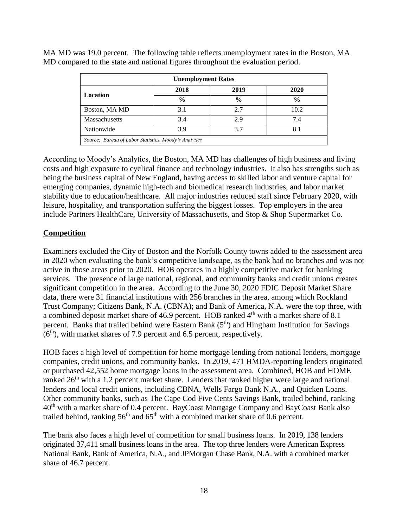| <b>Unemployment Rates</b> |                                                       |               |               |  |  |  |  |  |
|---------------------------|-------------------------------------------------------|---------------|---------------|--|--|--|--|--|
|                           | 2018                                                  | 2019          | 2020          |  |  |  |  |  |
| Location                  | $\frac{0}{0}$                                         | $\frac{0}{0}$ | $\frac{0}{0}$ |  |  |  |  |  |
| Boston, MA MD             | 3.1                                                   | 2.7           | 10.2          |  |  |  |  |  |
| Massachusetts             | 3.4                                                   | 2.9           | 7.4           |  |  |  |  |  |
| Nationwide                | 3.9                                                   | 3.7           | 8.1           |  |  |  |  |  |
|                           | Source: Bureau of Labor Statistics, Moody's Analytics |               |               |  |  |  |  |  |

MA MD was 19.0 percent. The following table reflects unemployment rates in the Boston, MA MD compared to the state and national figures throughout the evaluation period.

According to Moody's Analytics, the Boston, MA MD has challenges of high business and living costs and high exposure to cyclical finance and technology industries. It also has strengths such as being the business capital of New England, having access to skilled labor and venture capital for emerging companies, dynamic high-tech and biomedical research industries, and labor market stability due to education/healthcare. All major industries reduced staff since February 2020, with leisure, hospitality, and transportation suffering the biggest losses. Top employers in the area include Partners HealthCare, University of Massachusetts, and Stop & Shop Supermarket Co.

### **Competition**

Examiners excluded the City of Boston and the Norfolk County towns added to the assessment area in 2020 when evaluating the bank's competitive landscape, as the bank had no branches and was not active in those areas prior to 2020. HOB operates in a highly competitive market for banking services. The presence of large national, regional, and community banks and credit unions creates significant competition in the area. According to the June 30, 2020 FDIC Deposit Market Share data, there were 31 financial institutions with 256 branches in the area, among which Rockland Trust Company; Citizens Bank, N.A. (CBNA); and Bank of America, N.A. were the top three, with a combined deposit market share of 46.9 percent. HOB ranked 4th with a market share of 8.1 percent. Banks that trailed behind were Eastern Bank  $(5<sup>th</sup>)$  and Hingham Institution for Savings  $(6<sup>th</sup>)$ , with market shares of 7.9 percent and 6.5 percent, respectively.

HOB faces a high level of competition for home mortgage lending from national lenders, mortgage companies, credit unions, and community banks. In 2019, 471 HMDA-reporting lenders originated or purchased 42,552 home mortgage loans in the assessment area. Combined, HOB and HOME ranked 26<sup>th</sup> with a 1.2 percent market share. Lenders that ranked higher were large and national lenders and local credit unions, including CBNA, Wells Fargo Bank N.A., and Quicken Loans. Other community banks, such as The Cape Cod Five Cents Savings Bank, trailed behind, ranking 40th with a market share of 0.4 percent. BayCoast Mortgage Company and BayCoast Bank also trailed behind, ranking  $56<sup>th</sup>$  and  $65<sup>th</sup>$  with a combined market share of 0.6 percent.

The bank also faces a high level of competition for small business loans. In 2019, 138 lenders originated 37,411 small business loans in the area. The top three lenders were American Express National Bank, Bank of America, N.A., and JPMorgan Chase Bank, N.A. with a combined market share of 46.7 percent.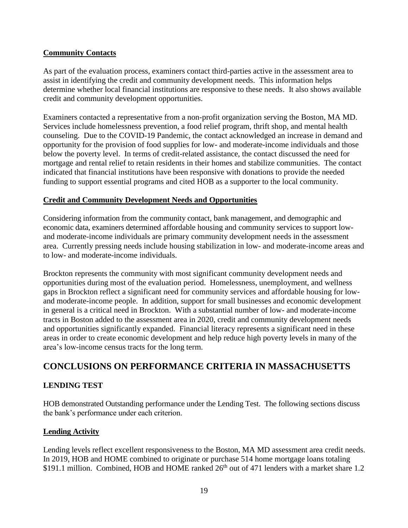## **Community Contacts**

As part of the evaluation process, examiners contact third-parties active in the assessment area to assist in identifying the credit and community development needs. This information helps determine whether local financial institutions are responsive to these needs. It also shows available credit and community development opportunities.

Examiners contacted a representative from a non-profit organization serving the Boston, MA MD. Services include homelessness prevention, a food relief program, thrift shop, and mental health counseling. Due to the COVID-19 Pandemic, the contact acknowledged an increase in demand and opportunity for the provision of food supplies for low- and moderate-income individuals and those below the poverty level. In terms of credit-related assistance, the contact discussed the need for mortgage and rental relief to retain residents in their homes and stabilize communities. The contact indicated that financial institutions have been responsive with donations to provide the needed funding to support essential programs and cited HOB as a supporter to the local community.

## **Credit and Community Development Needs and Opportunities**

Considering information from the community contact, bank management, and demographic and economic data, examiners determined affordable housing and community services to support lowand moderate-income individuals are primary community development needs in the assessment area. Currently pressing needs include housing stabilization in low- and moderate-income areas and to low- and moderate-income individuals.

Brockton represents the community with most significant community development needs and opportunities during most of the evaluation period. Homelessness, unemployment, and wellness gaps in Brockton reflect a significant need for community services and affordable housing for lowand moderate-income people. In addition, support for small businesses and economic development in general is a critical need in Brockton. With a substantial number of low- and moderate-income tracts in Boston added to the assessment area in 2020, credit and community development needs and opportunities significantly expanded. Financial literacy represents a significant need in these areas in order to create economic development and help reduce high poverty levels in many of the area's low-income census tracts for the long term.

# <span id="page-20-0"></span>**CONCLUSIONS ON PERFORMANCE CRITERIA IN MASSACHUSETTS**

## **LENDING TEST**

HOB demonstrated Outstanding performance under the Lending Test. The following sections discuss the bank's performance under each criterion.

## **Lending Activity**

Lending levels reflect excellent responsiveness to the Boston, MA MD assessment area credit needs. In 2019, HOB and HOME combined to originate or purchase 514 home mortgage loans totaling \$191.1 million. Combined, HOB and HOME ranked  $26<sup>th</sup>$  out of 471 lenders with a market share 1.2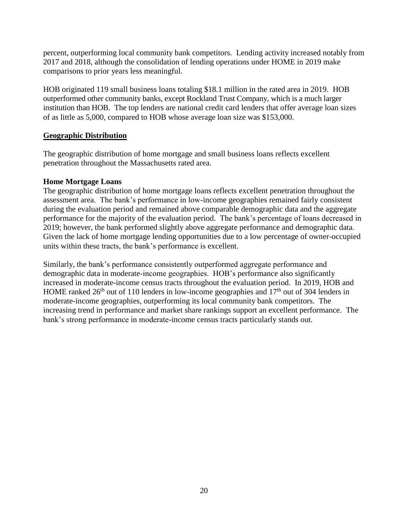percent, outperforming local community bank competitors. Lending activity increased notably from 2017 and 2018, although the consolidation of lending operations under HOME in 2019 make comparisons to prior years less meaningful.

HOB originated 119 small business loans totaling \$18.1 million in the rated area in 2019. HOB outperformed other community banks, except Rockland Trust Company, which is a much larger institution than HOB. The top lenders are national credit card lenders that offer average loan sizes of as little as 5,000, compared to HOB whose average loan size was \$153,000.

#### **Geographic Distribution**

The geographic distribution of home mortgage and small business loans reflects excellent penetration throughout the Massachusetts rated area.

## **Home Mortgage Loans**

The geographic distribution of home mortgage loans reflects excellent penetration throughout the assessment area. The bank's performance in low-income geographies remained fairly consistent during the evaluation period and remained above comparable demographic data and the aggregate performance for the majority of the evaluation period. The bank's percentage of loans decreased in 2019; however, the bank performed slightly above aggregate performance and demographic data. Given the lack of home mortgage lending opportunities due to a low percentage of owner-occupied units within these tracts, the bank's performance is excellent.

Similarly, the bank's performance consistently outperformed aggregate performance and demographic data in moderate-income geographies. HOB's performance also significantly increased in moderate-income census tracts throughout the evaluation period. In 2019, HOB and HOME ranked  $26<sup>th</sup>$  out of 110 lenders in low-income geographies and  $17<sup>th</sup>$  out of 304 lenders in moderate-income geographies, outperforming its local community bank competitors. The increasing trend in performance and market share rankings support an excellent performance. The bank's strong performance in moderate-income census tracts particularly stands out.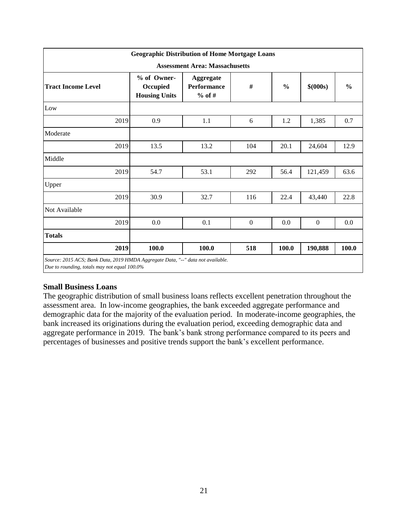|                                                                                                                                 | <b>Geographic Distribution of Home Mortgage Loans</b> |                                                    |          |               |                |               |  |  |  |  |
|---------------------------------------------------------------------------------------------------------------------------------|-------------------------------------------------------|----------------------------------------------------|----------|---------------|----------------|---------------|--|--|--|--|
| <b>Assessment Area: Massachusetts</b>                                                                                           |                                                       |                                                    |          |               |                |               |  |  |  |  |
| <b>Tract Income Level</b>                                                                                                       | % of Owner-<br>Occupied<br><b>Housing Units</b>       | <b>Aggregate</b><br><b>Performance</b><br>$%$ of # | $\#$     | $\frac{0}{0}$ | \$(000s)       | $\frac{0}{0}$ |  |  |  |  |
| Low                                                                                                                             |                                                       |                                                    |          |               |                |               |  |  |  |  |
| 2019                                                                                                                            | 0.9                                                   | 1.1                                                | 6        | 1.2           | 1,385          | 0.7           |  |  |  |  |
| Moderate                                                                                                                        |                                                       |                                                    |          |               |                |               |  |  |  |  |
| 2019                                                                                                                            | 13.5                                                  | 13.2                                               | 104      | 20.1          | 24,604         | 12.9          |  |  |  |  |
| Middle                                                                                                                          |                                                       |                                                    |          |               |                |               |  |  |  |  |
| 2019                                                                                                                            | 54.7                                                  | 53.1                                               | 292      | 56.4          | 121,459        | 63.6          |  |  |  |  |
| Upper                                                                                                                           |                                                       |                                                    |          |               |                |               |  |  |  |  |
| 2019                                                                                                                            | 30.9                                                  | 32.7                                               | 116      | 22.4          | 43,440         | 22.8          |  |  |  |  |
| Not Available                                                                                                                   |                                                       |                                                    |          |               |                |               |  |  |  |  |
| 2019                                                                                                                            | 0.0                                                   | 0.1                                                | $\theta$ | 0.0           | $\overline{0}$ | 0.0           |  |  |  |  |
| <b>Totals</b>                                                                                                                   |                                                       |                                                    |          |               |                |               |  |  |  |  |
| 2019                                                                                                                            | 100.0                                                 | 100.0                                              | 518      | 100.0         | 190,888        | 100.0         |  |  |  |  |
| Source: 2015 ACS; Bank Data, 2019 HMDA Aggregate Data, "--" data not available.<br>Due to rounding, totals may not equal 100.0% |                                                       |                                                    |          |               |                |               |  |  |  |  |

## **Small Business Loans**

The geographic distribution of small business loans reflects excellent penetration throughout the assessment area. In low-income geographies, the bank exceeded aggregate performance and demographic data for the majority of the evaluation period. In moderate-income geographies, the bank increased its originations during the evaluation period, exceeding demographic data and aggregate performance in 2019. The bank's bank strong performance compared to its peers and percentages of businesses and positive trends support the bank's excellent performance.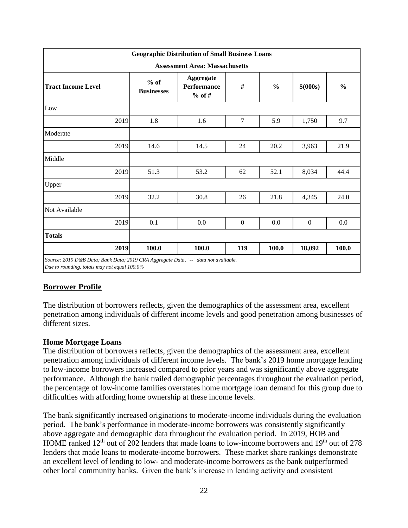|                                                                                                                                     | <b>Geographic Distribution of Small Business Loans</b> |                                             |                |               |                |               |  |  |  |  |
|-------------------------------------------------------------------------------------------------------------------------------------|--------------------------------------------------------|---------------------------------------------|----------------|---------------|----------------|---------------|--|--|--|--|
| <b>Assessment Area: Massachusetts</b>                                                                                               |                                                        |                                             |                |               |                |               |  |  |  |  |
| <b>Tract Income Level</b>                                                                                                           | $%$ of<br><b>Businesses</b>                            | Aggregate<br><b>Performance</b><br>$%$ of # | #              | $\frac{0}{0}$ | \$ (000s)      | $\frac{0}{0}$ |  |  |  |  |
| Low                                                                                                                                 |                                                        |                                             |                |               |                |               |  |  |  |  |
| 2019                                                                                                                                | 1.8                                                    | 1.6                                         | $\tau$         | 5.9           | 1,750          | 9.7           |  |  |  |  |
| Moderate                                                                                                                            |                                                        |                                             |                |               |                |               |  |  |  |  |
| 2019                                                                                                                                | 14.6                                                   | 14.5                                        | 24             | 20.2          | 3,963          | 21.9          |  |  |  |  |
| Middle                                                                                                                              |                                                        |                                             |                |               |                |               |  |  |  |  |
| 2019                                                                                                                                | 51.3                                                   | 53.2                                        | 62             | 52.1          | 8,034          | 44.4          |  |  |  |  |
| Upper                                                                                                                               |                                                        |                                             |                |               |                |               |  |  |  |  |
| 2019                                                                                                                                | 32.2                                                   | 30.8                                        | 26             | 21.8          | 4,345          | 24.0          |  |  |  |  |
| Not Available                                                                                                                       |                                                        |                                             |                |               |                |               |  |  |  |  |
| 2019                                                                                                                                | 0.1                                                    | 0.0                                         | $\overline{0}$ | 0.0           | $\overline{0}$ | 0.0           |  |  |  |  |
| <b>Totals</b>                                                                                                                       |                                                        |                                             |                |               |                |               |  |  |  |  |
| 2019                                                                                                                                | 100.0                                                  | 100.0                                       | 119            | 100.0         | 18,092         | 100.0         |  |  |  |  |
| Source: 2019 D&B Data; Bank Data; 2019 CRA Aggregate Data, "--" data not available.<br>Due to rounding, totals may not equal 100.0% |                                                        |                                             |                |               |                |               |  |  |  |  |

## **Borrower Profile**

The distribution of borrowers reflects, given the demographics of the assessment area, excellent penetration among individuals of different income levels and good penetration among businesses of different sizes.

#### **Home Mortgage Loans**

The distribution of borrowers reflects, given the demographics of the assessment area, excellent penetration among individuals of different income levels. The bank's 2019 home mortgage lending to low-income borrowers increased compared to prior years and was significantly above aggregate performance. Although the bank trailed demographic percentages throughout the evaluation period, the percentage of low-income families overstates home mortgage loan demand for this group due to difficulties with affording home ownership at these income levels.

The bank significantly increased originations to moderate-income individuals during the evaluation period. The bank's performance in moderate-income borrowers was consistently significantly above aggregate and demographic data throughout the evaluation period. In 2019, HOB and HOME ranked  $12<sup>th</sup>$  out of 202 lenders that made loans to low-income borrowers and  $19<sup>th</sup>$  out of 278 lenders that made loans to moderate-income borrowers. These market share rankings demonstrate an excellent level of lending to low- and moderate-income borrowers as the bank outperformed other local community banks. Given the bank's increase in lending activity and consistent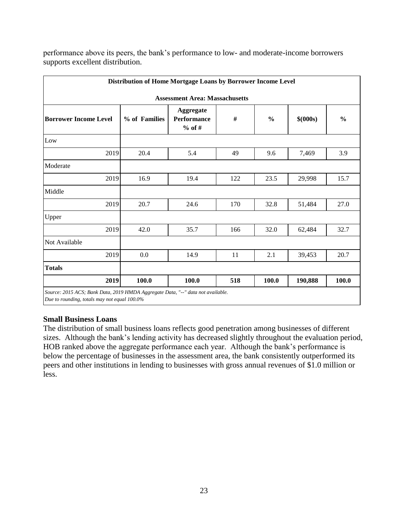|                                                                                                                                 | Distribution of Home Mortgage Loans by Borrower Income Level |                                                    |     |               |           |               |  |  |  |  |
|---------------------------------------------------------------------------------------------------------------------------------|--------------------------------------------------------------|----------------------------------------------------|-----|---------------|-----------|---------------|--|--|--|--|
| <b>Assessment Area: Massachusetts</b>                                                                                           |                                                              |                                                    |     |               |           |               |  |  |  |  |
| <b>Borrower Income Level</b>                                                                                                    | % of Families                                                | <b>Aggregate</b><br><b>Performance</b><br>$%$ of # | #   | $\frac{0}{0}$ | \$ (000s) | $\frac{0}{0}$ |  |  |  |  |
| Low                                                                                                                             |                                                              |                                                    |     |               |           |               |  |  |  |  |
| 2019                                                                                                                            | 20.4                                                         | 5.4                                                | 49  | 9.6           | 7,469     | 3.9           |  |  |  |  |
| Moderate                                                                                                                        |                                                              |                                                    |     |               |           |               |  |  |  |  |
| 2019                                                                                                                            | 16.9                                                         | 19.4                                               | 122 | 23.5          | 29,998    | 15.7          |  |  |  |  |
| Middle                                                                                                                          |                                                              |                                                    |     |               |           |               |  |  |  |  |
| 2019                                                                                                                            | 20.7                                                         | 24.6                                               | 170 | 32.8          | 51,484    | 27.0          |  |  |  |  |
| Upper                                                                                                                           |                                                              |                                                    |     |               |           |               |  |  |  |  |
| 2019                                                                                                                            | 42.0                                                         | 35.7                                               | 166 | 32.0          | 62,484    | 32.7          |  |  |  |  |
| Not Available                                                                                                                   |                                                              |                                                    |     |               |           |               |  |  |  |  |
| 2019                                                                                                                            | 0.0                                                          | 14.9                                               | 11  | 2.1           | 39,453    | 20.7          |  |  |  |  |
| <b>Totals</b>                                                                                                                   |                                                              |                                                    |     |               |           |               |  |  |  |  |
| 2019                                                                                                                            | 100.0                                                        | 100.0                                              | 518 | 100.0         | 190,888   | 100.0         |  |  |  |  |
| Source: 2015 ACS; Bank Data, 2019 HMDA Aggregate Data, "--" data not available.<br>Due to rounding, totals may not equal 100.0% |                                                              |                                                    |     |               |           |               |  |  |  |  |

performance above its peers, the bank's performance to low- and moderate-income borrowers supports excellent distribution.

### **Small Business Loans**

The distribution of small business loans reflects good penetration among businesses of different sizes. Although the bank's lending activity has decreased slightly throughout the evaluation period, HOB ranked above the aggregate performance each year. Although the bank's performance is below the percentage of businesses in the assessment area, the bank consistently outperformed its peers and other institutions in lending to businesses with gross annual revenues of \$1.0 million or less.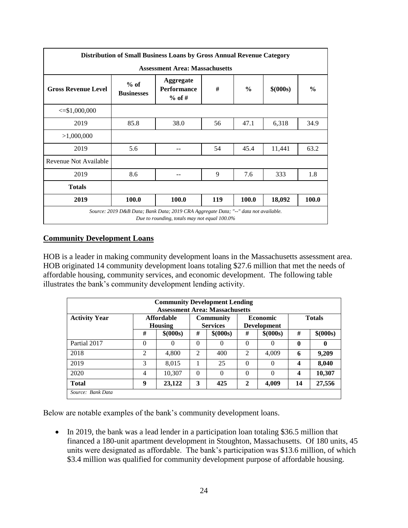| Distribution of Small Business Loans by Gross Annual Revenue Category |                                       |                                                                                                                                     |     |               |           |               |  |  |  |  |
|-----------------------------------------------------------------------|---------------------------------------|-------------------------------------------------------------------------------------------------------------------------------------|-----|---------------|-----------|---------------|--|--|--|--|
|                                                                       | <b>Assessment Area: Massachusetts</b> |                                                                                                                                     |     |               |           |               |  |  |  |  |
| <b>Gross Revenue Level</b>                                            | $%$ of<br><b>Businesses</b>           | <b>Aggregate</b><br><b>Performance</b><br>$%$ of #                                                                                  | #   | $\frac{6}{9}$ | \$ (000s) | $\frac{0}{0}$ |  |  |  |  |
| $\leq$ \$1,000,000                                                    |                                       |                                                                                                                                     |     |               |           |               |  |  |  |  |
| 2019                                                                  | 85.8                                  | 38.0                                                                                                                                | 56  | 47.1          | 6,318     | 34.9          |  |  |  |  |
| >1,000,000                                                            |                                       |                                                                                                                                     |     |               |           |               |  |  |  |  |
| 2019                                                                  | 5.6                                   |                                                                                                                                     | 54  | 45.4          | 11,441    | 63.2          |  |  |  |  |
| Revenue Not Available                                                 |                                       |                                                                                                                                     |     |               |           |               |  |  |  |  |
| 2019                                                                  | 8.6                                   |                                                                                                                                     | 9   | 7.6           | 333       | 1.8           |  |  |  |  |
| <b>Totals</b>                                                         |                                       |                                                                                                                                     |     |               |           |               |  |  |  |  |
| 2019                                                                  | 100.0                                 | 100.0                                                                                                                               | 119 | 100.0         | 18,092    | 100.0         |  |  |  |  |
|                                                                       |                                       | Source: 2019 D&B Data; Bank Data; 2019 CRA Aggregate Data; "--" data not available.<br>Due to rounding, totals may not equal 100.0% |     |               |           |               |  |  |  |  |

### **Community Development Loans**

HOB is a leader in making community development loans in the Massachusetts assessment area. HOB originated 14 community development loans totaling \$27.6 million that met the needs of affordable housing, community services, and economic development. The following table illustrates the bank's community development lending activity.

| <b>Community Development Lending</b><br><b>Assessment Area: Massachusetts</b> |                              |           |                                     |           |                |                                       |               |           |  |  |
|-------------------------------------------------------------------------------|------------------------------|-----------|-------------------------------------|-----------|----------------|---------------------------------------|---------------|-----------|--|--|
| <b>Activity Year</b>                                                          | <b>Affordable</b><br>Housing |           | <b>Community</b><br><b>Services</b> |           |                | <b>Economic</b><br><b>Development</b> | <b>Totals</b> |           |  |  |
|                                                                               | #                            | \$ (000s) | #                                   | \$ (000s) | #              | \$ (000s)                             | #             | \$ (000s) |  |  |
| Partial 2017                                                                  | $\theta$                     | $\theta$  | $\Omega$                            | $\Omega$  | 0              | 0                                     | $\bf{0}$      | $\bf{0}$  |  |  |
| 2018                                                                          | $\overline{2}$               | 4,800     | $\mathfrak{D}$                      | 400       | $\mathfrak{D}$ | 4,009                                 | 6             | 9,209     |  |  |
| 2019                                                                          | 3                            | 8,015     |                                     | 25        | $\Omega$       | $\Omega$                              | 4             | 8,040     |  |  |
| 2020                                                                          | 4                            | 10,307    | $\Omega$                            | $\Omega$  | $\theta$       | $\Omega$                              | 4             | 10,307    |  |  |
| <b>Total</b>                                                                  | 9                            | 23,122    | 3                                   | 425       | 2              | 4,009                                 | 14            | 27,556    |  |  |
| Source: Bank Data                                                             |                              |           |                                     |           |                |                                       |               |           |  |  |

Below are notable examples of the bank's community development loans.

• In 2019, the bank was a lead lender in a participation loan totaling \$36.5 million that financed a 180-unit apartment development in Stoughton, Massachusetts. Of 180 units, 45 units were designated as affordable. The bank's participation was \$13.6 million, of which \$3.4 million was qualified for community development purpose of affordable housing.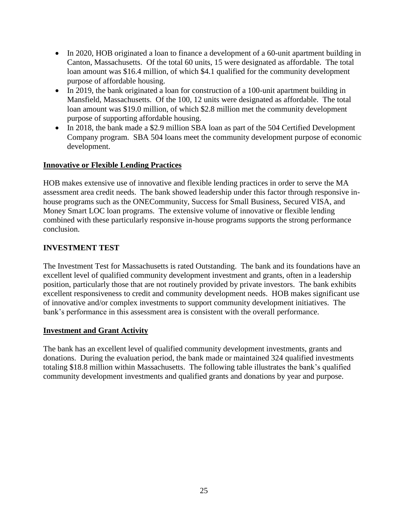- In 2020, HOB originated a loan to finance a development of a 60-unit apartment building in Canton, Massachusetts. Of the total 60 units, 15 were designated as affordable. The total loan amount was \$16.4 million, of which \$4.1 qualified for the community development purpose of affordable housing.
- In 2019, the bank originated a loan for construction of a 100-unit apartment building in Mansfield, Massachusetts. Of the 100, 12 units were designated as affordable. The total loan amount was \$19.0 million, of which \$2.8 million met the community development purpose of supporting affordable housing.
- In 2018, the bank made a \$2.9 million SBA loan as part of the 504 Certified Development Company program. SBA 504 loans meet the community development purpose of economic development.

## **Innovative or Flexible Lending Practices**

HOB makes extensive use of innovative and flexible lending practices in order to serve the MA assessment area credit needs. The bank showed leadership under this factor through responsive inhouse programs such as the ONECommunity, Success for Small Business, Secured VISA, and Money Smart LOC loan programs. The extensive volume of innovative or flexible lending combined with these particularly responsive in-house programs supports the strong performance conclusion.

## **INVESTMENT TEST**

The Investment Test for Massachusetts is rated Outstanding. The bank and its foundations have an excellent level of qualified community development investment and grants, often in a leadership position, particularly those that are not routinely provided by private investors. The bank exhibits excellent responsiveness to credit and community development needs. HOB makes significant use of innovative and/or complex investments to support community development initiatives. The bank's performance in this assessment area is consistent with the overall performance.

## **Investment and Grant Activity**

The bank has an excellent level of qualified community development investments, grants and donations. During the evaluation period, the bank made or maintained 324 qualified investments totaling \$18.8 million within Massachusetts. The following table illustrates the bank's qualified community development investments and qualified grants and donations by year and purpose.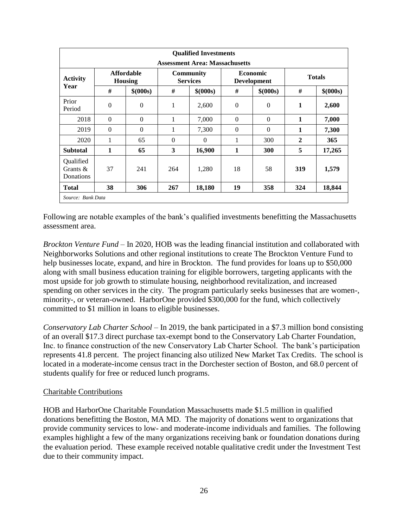|                                       |                                     |           |                                     | <b>Qualified Investments</b> |              |                                       |               |           |  |  |
|---------------------------------------|-------------------------------------|-----------|-------------------------------------|------------------------------|--------------|---------------------------------------|---------------|-----------|--|--|
| <b>Assessment Area: Massachusetts</b> |                                     |           |                                     |                              |              |                                       |               |           |  |  |
| <b>Activity</b><br>Year               | <b>Affordable</b><br><b>Housing</b> |           | <b>Community</b><br><b>Services</b> |                              |              | <b>Economic</b><br><b>Development</b> | <b>Totals</b> |           |  |  |
|                                       | #                                   | \$ (000s) | #                                   | \$ (000s)                    | #            | \$ (000s)                             | #             | \$ (000s) |  |  |
| Prior<br>Period                       | $\mathbf{0}$                        | $\theta$  | 1                                   | 2,600                        | $\mathbf{0}$ | $\theta$                              | 1             | 2,600     |  |  |
| 2018                                  | $\theta$                            | $\Omega$  | 1                                   | 7,000                        | $\Omega$     | $\theta$                              | 1             | 7,000     |  |  |
| 2019                                  | $\Omega$                            | $\Omega$  | 1                                   | 7,300                        | $\Omega$     | $\theta$                              | 1             | 7,300     |  |  |
| 2020                                  | 1                                   | 65        | $\Omega$                            | $\Omega$                     | 1            | 300                                   | $\mathbf{2}$  | 365       |  |  |
| <b>Subtotal</b>                       | 1                                   | 65        | 3                                   | 16,900                       | 1            | <b>300</b>                            | 5             | 17,265    |  |  |
| Qualified<br>Grants $\&$<br>Donations | 37                                  | 241       | 264                                 | 1,280                        | 18           | 58                                    | 319           | 1,579     |  |  |
| Total                                 | 38                                  | 306       | 267                                 | 18,180                       | 19           | 358                                   | 324           | 18,844    |  |  |
| Source: Bank Data                     |                                     |           |                                     |                              |              |                                       |               |           |  |  |

Following are notable examples of the bank's qualified investments benefitting the Massachusetts assessment area.

*Brockton Venture Fund –* In 2020, HOB was the leading financial institution and collaborated with Neighborworks Solutions and other regional institutions to create The Brockton Venture Fund to help businesses locate, expand, and hire in Brockton. The fund provides for loans up to \$50,000 along with small business education training for eligible borrowers, targeting applicants with the most upside for job growth to stimulate housing, neighborhood revitalization, and increased spending on other services in the city. The program particularly seeks businesses that are women-, minority-, or veteran-owned. HarborOne provided \$300,000 for the fund, which collectively committed to \$1 million in loans to eligible businesses.

*Conservatory Lab Charter School –* In 2019, the bank participated in a \$7.3 million bond consisting of an overall \$17.3 direct purchase tax-exempt bond to the Conservatory Lab Charter Foundation, Inc. to finance construction of the new Conservatory Lab Charter School. The bank's participation represents 41.8 percent. The project financing also utilized New Market Tax Credits. The school is located in a moderate-income census tract in the Dorchester section of Boston, and 68.0 percent of students qualify for free or reduced lunch programs.

#### Charitable Contributions

HOB and HarborOne Charitable Foundation Massachusetts made \$1.5 million in qualified donations benefitting the Boston, MA MD. The majority of donations went to organizations that provide community services to low- and moderate-income individuals and families. The following examples highlight a few of the many organizations receiving bank or foundation donations during the evaluation period. These example received notable qualitative credit under the Investment Test due to their community impact.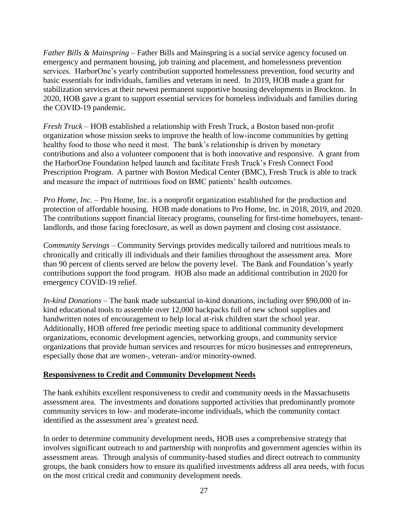*Father Bills & Mainspring –* Father Bills and Mainspring is a social service agency focused on emergency and permanent housing, job training and placement, and homelessness prevention services. HarborOne's yearly contribution supported homelessness prevention, food security and basic essentials for individuals, families and veterans in need. In 2019, HOB made a grant for stabilization services at their newest permanent supportive housing developments in Brockton. In 2020, HOB gave a grant to support essential services for homeless individuals and families during the COVID-19 pandemic.

*Fresh Truck –* HOB established a relationship with Fresh Truck, a Boston based non-profit organization whose mission seeks to improve the health of low-income communities by getting healthy food to those who need it most. The bank's relationship is driven by monetary contributions and also a volunteer component that is both innovative and responsive. A grant from the HarborOne Foundation helped launch and facilitate Fresh Truck's Fresh Connect Food Prescription Program. A partner with Boston Medical Center (BMC), Fresh Truck is able to track and measure the impact of nutritious food on BMC patients' health outcomes.

*Pro Home, Inc. –* Pro Home, Inc. is a nonprofit organization established for the production and protection of affordable housing. HOB made donations to Pro Home, Inc. in 2018, 2019, and 2020. The contributions support financial literacy programs, counseling for first-time homebuyers, tenantlandlords, and those facing foreclosure, as well as down payment and closing cost assistance.

*Community Servings* – Community Servings provides medically tailored and nutritious meals to chronically and critically ill individuals and their families throughout the assessment area. More than 90 percent of clients served are below the poverty level. The Bank and Foundation's yearly contributions support the food program. HOB also made an additional contribution in 2020 for emergency COVID-19 relief.

*In-kind Donations* – The bank made substantial in-kind donations, including over \$90,000 of inkind educational tools to assemble over 12,000 backpacks full of new school supplies and handwritten notes of encouragement to help local at-risk children start the school year. Additionally, HOB offered free periodic meeting space to additional community development organizations, economic development agencies, networking groups, and community service organizations that provide human services and resources for micro businesses and entrepreneurs, especially those that are women-, veteran- and/or minority-owned.

#### **Responsiveness to Credit and Community Development Needs**

The bank exhibits excellent responsiveness to credit and community needs in the Massachusetts assessment area. The investments and donations supported activities that predominantly promote community services to low- and moderate-income individuals, which the community contact identified as the assessment area's greatest need.

In order to determine community development needs, HOB uses a comprehensive strategy that involves significant outreach to and partnership with nonprofits and government agencies within its assessment areas. Through analysis of community-based studies and direct outreach to community groups, the bank considers how to ensure its qualified investments address all area needs, with focus on the most critical credit and community development needs.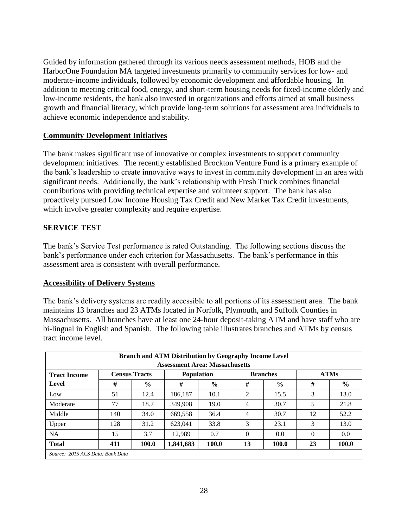Guided by information gathered through its various needs assessment methods, HOB and the HarborOne Foundation MA targeted investments primarily to community services for low- and moderate-income individuals, followed by economic development and affordable housing. In addition to meeting critical food, energy, and short-term housing needs for fixed-income elderly and low-income residents, the bank also invested in organizations and efforts aimed at small business growth and financial literacy, which provide long-term solutions for assessment area individuals to achieve economic independence and stability.

### **Community Development Initiatives**

The bank makes significant use of innovative or complex investments to support community development initiatives. The recently established Brockton Venture Fund is a primary example of the bank's leadership to create innovative ways to invest in community development in an area with significant needs. Additionally, the bank's relationship with Fresh Truck combines financial contributions with providing technical expertise and volunteer support. The bank has also proactively pursued Low Income Housing Tax Credit and New Market Tax Credit investments, which involve greater complexity and require expertise.

## **SERVICE TEST**

The bank's Service Test performance is rated Outstanding. The following sections discuss the bank's performance under each criterion for Massachusetts. The bank's performance in this assessment area is consistent with overall performance.

## **Accessibility of Delivery Systems**

The bank's delivery systems are readily accessible to all portions of its assessment area. The bank maintains 13 branches and 23 ATMs located in Norfolk, Plymouth, and Suffolk Counties in Massachusetts. All branches have at least one 24-hour deposit-taking ATM and have staff who are bi-lingual in English and Spanish. The following table illustrates branches and ATMs by census tract income level.

| <b>Branch and ATM Distribution by Geography Income Level</b><br><b>Assessment Area: Massachusetts</b> |     |                      |           |                   |                |                 |             |       |  |  |  |
|-------------------------------------------------------------------------------------------------------|-----|----------------------|-----------|-------------------|----------------|-----------------|-------------|-------|--|--|--|
| <b>Tract Income</b>                                                                                   |     | <b>Census Tracts</b> |           | <b>Population</b> |                | <b>Branches</b> | <b>ATMs</b> |       |  |  |  |
| Level                                                                                                 | #   | $\frac{6}{6}$        | #         | $\frac{0}{0}$     | #              | $\frac{6}{9}$   | #           | $\%$  |  |  |  |
| Low                                                                                                   | 51  | 12.4                 | 186.187   | 10.1              | $\mathfrak{D}$ | 15.5            | 3           | 13.0  |  |  |  |
| Moderate                                                                                              | 77  | 18.7                 | 349.908   | 19.0              | 4              | 30.7            | 5           | 21.8  |  |  |  |
| Middle                                                                                                | 140 | 34.0                 | 669,558   | 36.4              | $\overline{4}$ | 30.7            | 12          | 52.2  |  |  |  |
| Upper                                                                                                 | 128 | 31.2                 | 623.041   | 33.8              | 3              | 23.1            | 3           | 13.0  |  |  |  |
| <b>NA</b>                                                                                             | 15  | 3.7                  | 12.989    | 0.7               | $\Omega$       | 0.0             | $\Omega$    | 0.0   |  |  |  |
| <b>Total</b>                                                                                          | 411 | 100.0                | 1,841,683 | 100.0             | 13             | 100.0           | 23          | 100.0 |  |  |  |
| Source: 2015 ACS Data; Bank Data                                                                      |     |                      |           |                   |                |                 |             |       |  |  |  |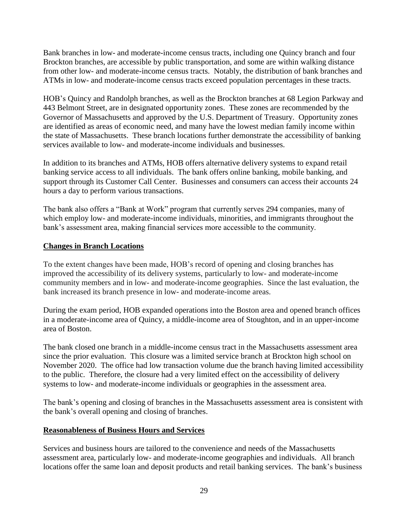Bank branches in low- and moderate-income census tracts, including one Quincy branch and four Brockton branches, are accessible by public transportation, and some are within walking distance from other low- and moderate-income census tracts. Notably, the distribution of bank branches and ATMs in low- and moderate-income census tracts exceed population percentages in these tracts.

HOB's Quincy and Randolph branches, as well as the Brockton branches at 68 Legion Parkway and 443 Belmont Street, are in designated opportunity zones. These zones are recommended by the Governor of Massachusetts and approved by the U.S. Department of Treasury. Opportunity zones are identified as areas of economic need, and many have the lowest median family income within the state of Massachusetts. These branch locations further demonstrate the accessibility of banking services available to low- and moderate-income individuals and businesses.

In addition to its branches and ATMs, HOB offers alternative delivery systems to expand retail banking service access to all individuals. The bank offers online banking, mobile banking, and support through its Customer Call Center. Businesses and consumers can access their accounts 24 hours a day to perform various transactions.

The bank also offers a "Bank at Work" program that currently serves 294 companies, many of which employ low- and moderate-income individuals, minorities, and immigrants throughout the bank's assessment area, making financial services more accessible to the community.

#### **Changes in Branch Locations**

To the extent changes have been made, HOB's record of opening and closing branches has improved the accessibility of its delivery systems, particularly to low- and moderate-income community members and in low- and moderate-income geographies. Since the last evaluation, the bank increased its branch presence in low- and moderate-income areas.

During the exam period, HOB expanded operations into the Boston area and opened branch offices in a moderate-income area of Quincy, a middle-income area of Stoughton, and in an upper-income area of Boston.

The bank closed one branch in a middle-income census tract in the Massachusetts assessment area since the prior evaluation. This closure was a limited service branch at Brockton high school on November 2020. The office had low transaction volume due the branch having limited accessibility to the public. Therefore, the closure had a very limited effect on the accessibility of delivery systems to low- and moderate-income individuals or geographies in the assessment area.

The bank's opening and closing of branches in the Massachusetts assessment area is consistent with the bank's overall opening and closing of branches.

#### **Reasonableness of Business Hours and Services**

Services and business hours are tailored to the convenience and needs of the Massachusetts assessment area, particularly low- and moderate-income geographies and individuals. All branch locations offer the same loan and deposit products and retail banking services. The bank's business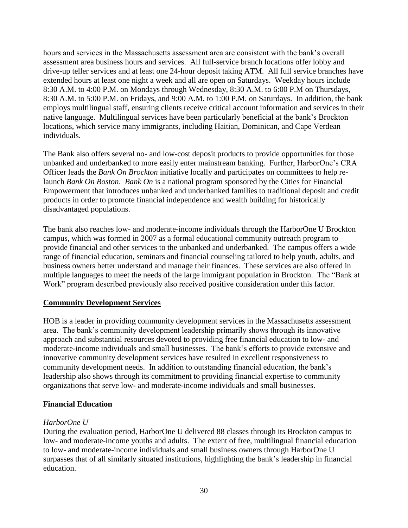hours and services in the Massachusetts assessment area are consistent with the bank's overall assessment area business hours and services. All full-service branch locations offer lobby and drive-up teller services and at least one 24-hour deposit taking ATM. All full service branches have extended hours at least one night a week and all are open on Saturdays. Weekday hours include 8:30 A.M. to 4:00 P.M. on Mondays through Wednesday, 8:30 A.M. to 6:00 P.M on Thursdays, 8:30 A.M. to 5:00 P.M. on Fridays, and 9:00 A.M. to 1:00 P.M. on Saturdays. In addition, the bank employs multilingual staff, ensuring clients receive critical account information and services in their native language. Multilingual services have been particularly beneficial at the bank's Brockton locations, which service many immigrants, including Haitian, Dominican, and Cape Verdean individuals.

The Bank also offers several no- and low-cost deposit products to provide opportunities for those unbanked and underbanked to more easily enter mainstream banking. Further, HarborOne's CRA Officer leads the *Bank On Brockton* initiative locally and participates on committees to help relaunch *Bank On Boston*. *Bank On* is a national program sponsored by the Cities for Financial Empowerment that introduces unbanked and underbanked families to traditional deposit and credit products in order to promote financial independence and wealth building for historically disadvantaged populations.

The bank also reaches low- and moderate-income individuals through the HarborOne U Brockton campus, which was formed in 2007 as a formal educational community outreach program to provide financial and other services to the unbanked and underbanked. The campus offers a wide range of financial education, seminars and financial counseling tailored to help youth, adults, and business owners better understand and manage their finances. These services are also offered in multiple languages to meet the needs of the large immigrant population in Brockton. The "Bank at Work" program described previously also received positive consideration under this factor.

#### **Community Development Services**

HOB is a leader in providing community development services in the Massachusetts assessment area. The bank's community development leadership primarily shows through its innovative approach and substantial resources devoted to providing free financial education to low- and moderate-income individuals and small businesses. The bank's efforts to provide extensive and innovative community development services have resulted in excellent responsiveness to community development needs. In addition to outstanding financial education, the bank's leadership also shows through its commitment to providing financial expertise to community organizations that serve low- and moderate-income individuals and small businesses.

#### **Financial Education**

#### *HarborOne U*

During the evaluation period, HarborOne U delivered 88 classes through its Brockton campus to low- and moderate-income youths and adults. The extent of free, multilingual financial education to low- and moderate-income individuals and small business owners through HarborOne U surpasses that of all similarly situated institutions, highlighting the bank's leadership in financial education.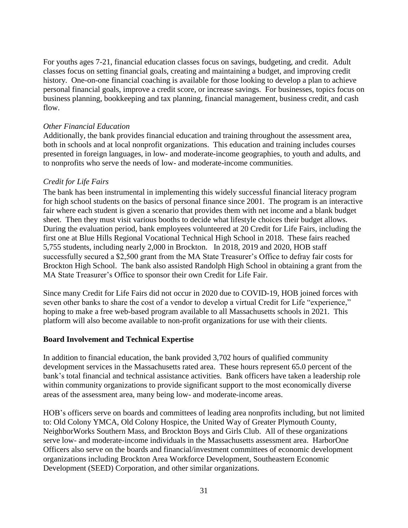For youths ages 7-21, financial education classes focus on savings, budgeting, and credit. Adult classes focus on setting financial goals, creating and maintaining a budget, and improving credit history. One-on-one financial coaching is available for those looking to develop a plan to achieve personal financial goals, improve a credit score, or increase savings. For businesses, topics focus on business planning, bookkeeping and tax planning, financial management, business credit, and cash flow.

#### *Other Financial Education*

Additionally, the bank provides financial education and training throughout the assessment area, both in schools and at local nonprofit organizations. This education and training includes courses presented in foreign languages, in low- and moderate-income geographies, to youth and adults, and to nonprofits who serve the needs of low- and moderate-income communities.

#### *Credit for Life Fairs*

The bank has been instrumental in implementing this widely successful financial literacy program for high school students on the basics of personal finance since 2001. The program is an interactive fair where each student is given a scenario that provides them with net income and a blank budget sheet. Then they must visit various booths to decide what lifestyle choices their budget allows. During the evaluation period, bank employees volunteered at 20 Credit for Life Fairs, including the first one at Blue Hills Regional Vocational Technical High School in 2018. These fairs reached 5,755 students, including nearly 2,000 in Brockton. In 2018, 2019 and 2020, HOB staff successfully secured a \$2,500 grant from the MA State Treasurer's Office to defray fair costs for Brockton High School. The bank also assisted Randolph High School in obtaining a grant from the MA State Treasurer's Office to sponsor their own Credit for Life Fair.

Since many Credit for Life Fairs did not occur in 2020 due to COVID-19, HOB joined forces with seven other banks to share the cost of a vendor to develop a virtual Credit for Life "experience," hoping to make a free web-based program available to all Massachusetts schools in 2021. This platform will also become available to non-profit organizations for use with their clients.

#### **Board Involvement and Technical Expertise**

In addition to financial education, the bank provided 3,702 hours of qualified community development services in the Massachusetts rated area. These hours represent 65.0 percent of the bank's total financial and technical assistance activities. Bank officers have taken a leadership role within community organizations to provide significant support to the most economically diverse areas of the assessment area, many being low- and moderate-income areas.

HOB's officers serve on boards and committees of leading area nonprofits including, but not limited to: Old Colony YMCA, Old Colony Hospice, the United Way of Greater Plymouth County, NeighborWorks Southern Mass, and Brockton Boys and Girls Club. All of these organizations serve low- and moderate-income individuals in the Massachusetts assessment area. HarborOne Officers also serve on the boards and financial/investment committees of economic development organizations including Brockton Area Workforce Development, Southeastern Economic Development (SEED) Corporation, and other similar organizations.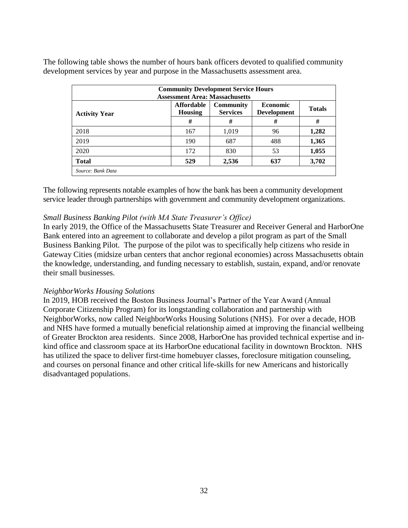The following table shows the number of hours bank officers devoted to qualified community development services by year and purpose in the Massachusetts assessment area.

| <b>Community Development Service Hours</b><br><b>Assessment Area: Massachusetts</b> |                                                                            |       |                                       |               |  |  |  |  |  |
|-------------------------------------------------------------------------------------|----------------------------------------------------------------------------|-------|---------------------------------------|---------------|--|--|--|--|--|
| <b>Activity Year</b>                                                                | <b>Affordable</b><br><b>Community</b><br><b>Services</b><br><b>Housing</b> |       | <b>Economic</b><br><b>Development</b> | <b>Totals</b> |  |  |  |  |  |
|                                                                                     | #                                                                          | #     | #                                     | #             |  |  |  |  |  |
| 2018                                                                                | 167                                                                        | 1,019 | 96                                    | 1,282         |  |  |  |  |  |
| 2019                                                                                | 190                                                                        | 687   | 488                                   | 1,365         |  |  |  |  |  |
| 2020                                                                                | 172                                                                        | 830   | 53                                    | 1,055         |  |  |  |  |  |
| <b>Total</b>                                                                        | 529                                                                        | 2,536 | 637                                   | 3,702         |  |  |  |  |  |
| Source: Bank Data                                                                   |                                                                            |       |                                       |               |  |  |  |  |  |

The following represents notable examples of how the bank has been a community development service leader through partnerships with government and community development organizations.

### *Small Business Banking Pilot (with MA State Treasurer's Office)*

In early 2019, the Office of the Massachusetts State Treasurer and Receiver General and HarborOne Bank entered into an agreement to collaborate and develop a pilot program as part of the Small Business Banking Pilot. The purpose of the pilot was to specifically help citizens who reside in Gateway Cities (midsize urban centers that anchor regional economies) across Massachusetts obtain the knowledge, understanding, and funding necessary to establish, sustain, expand, and/or renovate their small businesses.

#### *NeighborWorks Housing Solutions*

In 2019, HOB received the Boston Business Journal's Partner of the Year Award (Annual Corporate Citizenship Program) for its longstanding collaboration and partnership with NeighborWorks, now called NeighborWorks Housing Solutions (NHS). For over a decade, HOB and NHS have formed a mutually beneficial relationship aimed at improving the financial wellbeing of Greater Brockton area residents. Since 2008, HarborOne has provided technical expertise and inkind office and classroom space at its HarborOne educational facility in downtown Brockton. NHS has utilized the space to deliver first-time homebuyer classes, foreclosure mitigation counseling, and courses on personal finance and other critical life-skills for new Americans and historically disadvantaged populations.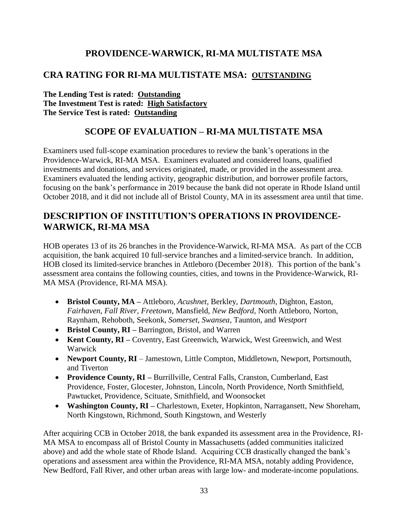# **PROVIDENCE-WARWICK, RI-MA MULTISTATE MSA**

## <span id="page-34-1"></span><span id="page-34-0"></span>**CRA RATING FOR RI-MA MULTISTATE MSA: OUTSTANDING**

**The Lending Test is rated: Outstanding The Investment Test is rated: High Satisfactory The Service Test is rated: Outstanding**

# **SCOPE OF EVALUATION – RI-MA MULTISTATE MSA**

<span id="page-34-2"></span>Examiners used full-scope examination procedures to review the bank's operations in the Providence-Warwick, RI-MA MSA. Examiners evaluated and considered loans, qualified investments and donations, and services originated, made, or provided in the assessment area. Examiners evaluated the lending activity, geographic distribution, and borrower profile factors, focusing on the bank's performance in 2019 because the bank did not operate in Rhode Island until October 2018, and it did not include all of Bristol County, MA in its assessment area until that time.

# <span id="page-34-3"></span>**DESCRIPTION OF INSTITUTION'S OPERATIONS IN PROVIDENCE-WARWICK, RI-MA MSA**

HOB operates 13 of its 26 branches in the Providence-Warwick, RI-MA MSA. As part of the CCB acquisition, the bank acquired 10 full-service branches and a limited-service branch. In addition, HOB closed its limited-service branches in Attleboro (December 2018). This portion of the bank's assessment area contains the following counties, cities, and towns in the Providence-Warwick, RI-MA MSA (Providence, RI-MA MSA).

- **Bristol County, MA –** Attleboro, *Acushnet*, Berkley, *Dartmouth*, Dighton, Easton, *Fairhaven*, *Fall River*, *Freetown*, Mansfield, *New Bedford*, North Attleboro, Norton, Raynham, Rehoboth, Seekonk, *Somerset*, *Swansea*, Taunton, and *Westport*
- Bristol County, RI Barrington, Bristol, and Warren
- **Kent County, RI** Coventry, East Greenwich, Warwick, West Greenwich, and West Warwick
- **Newport County, RI**  Jamestown, Little Compton, Middletown, Newport, Portsmouth, and Tiverton
- **Providence County, RI** Burrillville, Central Falls, Cranston, Cumberland, East Providence, Foster, Glocester, Johnston, Lincoln, North Providence, North Smithfield, Pawtucket, Providence, Scituate, Smithfield, and Woonsocket
- **Washington County, RI –** Charlestown, Exeter, Hopkinton, Narragansett, New Shoreham, North Kingstown, Richmond, South Kingstown, and Westerly

After acquiring CCB in October 2018, the bank expanded its assessment area in the Providence, RI-MA MSA to encompass all of Bristol County in Massachusetts (added communities italicized above) and add the whole state of Rhode Island. Acquiring CCB drastically changed the bank's operations and assessment area within the Providence, RI-MA MSA, notably adding Providence, New Bedford, Fall River, and other urban areas with large low- and moderate-income populations.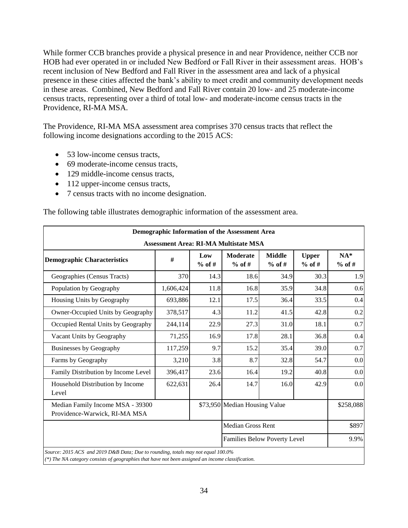While former CCB branches provide a physical presence in and near Providence, neither CCB nor HOB had ever operated in or included New Bedford or Fall River in their assessment areas. HOB's recent inclusion of New Bedford and Fall River in the assessment area and lack of a physical presence in these cities affected the bank's ability to meet credit and community development needs in these areas. Combined, New Bedford and Fall River contain 20 low- and 25 moderate-income census tracts, representing over a third of total low- and moderate-income census tracts in the Providence, RI-MA MSA.

The Providence, RI-MA MSA assessment area comprises 370 census tracts that reflect the following income designations according to the 2015 ACS:

- 53 low-income census tracts,
- 69 moderate-income census tracts,
- 129 middle-income census tracts,
- 112 upper-income census tracts,
- 7 census tracts with no income designation.

|                                                                                                                                                                                       |                                              |                 | Demographic Information of the Assessment Area |                           |                          |                   |  |  |  |  |  |
|---------------------------------------------------------------------------------------------------------------------------------------------------------------------------------------|----------------------------------------------|-----------------|------------------------------------------------|---------------------------|--------------------------|-------------------|--|--|--|--|--|
|                                                                                                                                                                                       | <b>Assessment Area: RI-MA Multistate MSA</b> |                 |                                                |                           |                          |                   |  |  |  |  |  |
| <b>Demographic Characteristics</b>                                                                                                                                                    | #                                            | Low<br>$%$ of # | <b>Moderate</b><br>$%$ of #                    | <b>Middle</b><br>$%$ of # | <b>Upper</b><br>$%$ of # | $NA*$<br>$%$ of # |  |  |  |  |  |
| Geographies (Census Tracts)                                                                                                                                                           | 370                                          | 14.3            | 18.6                                           | 34.9                      | 30.3                     | 1.9               |  |  |  |  |  |
| Population by Geography                                                                                                                                                               | 1,606,424                                    | 11.8            | 16.8                                           | 35.9                      | 34.8                     | 0.6               |  |  |  |  |  |
| Housing Units by Geography                                                                                                                                                            | 693,886                                      | 12.1            | 17.5                                           | 36.4                      | 33.5                     | 0.4               |  |  |  |  |  |
| Owner-Occupied Units by Geography                                                                                                                                                     | 378,517                                      | 4.3             | 11.2                                           | 41.5                      | 42.8                     | 0.2               |  |  |  |  |  |
| Occupied Rental Units by Geography                                                                                                                                                    | 244,114                                      | 22.9            | 27.3                                           | 31.0                      | 18.1                     | 0.7               |  |  |  |  |  |
| Vacant Units by Geography                                                                                                                                                             | 71,255                                       | 16.9            | 17.8                                           | 28.1                      | 36.8                     | 0.4               |  |  |  |  |  |
| <b>Businesses by Geography</b>                                                                                                                                                        | 117,259                                      | 9.7             | 15.2                                           | 35.4                      | 39.0                     | 0.7               |  |  |  |  |  |
| Farms by Geography                                                                                                                                                                    | 3,210                                        | 3.8             | 8.7                                            | 32.8                      | 54.7                     | 0.0               |  |  |  |  |  |
| Family Distribution by Income Level                                                                                                                                                   | 396,417                                      | 23.6            | 16.4                                           | 19.2                      | 40.8                     | 0.0               |  |  |  |  |  |
| Household Distribution by Income<br>Level                                                                                                                                             | 622,631                                      | 26.4            | 14.7                                           | 16.0                      | 42.9                     | 0.0               |  |  |  |  |  |
| Median Family Income MSA - 39300<br>Providence-Warwick, RI-MA MSA                                                                                                                     |                                              |                 | \$73,950 Median Housing Value                  |                           |                          | \$258,088         |  |  |  |  |  |
|                                                                                                                                                                                       |                                              |                 | <b>Median Gross Rent</b>                       |                           |                          | \$897             |  |  |  |  |  |
|                                                                                                                                                                                       |                                              |                 | Families Below Poverty Level                   |                           |                          | 9.9%              |  |  |  |  |  |
| Source: 2015 ACS and 2019 D&B Data; Due to rounding, totals may not equal 100.0%<br>(*) The NA category consists of geographies that have not been assigned an income classification. |                                              |                 |                                                |                           |                          |                   |  |  |  |  |  |

The following table illustrates demographic information of the assessment area.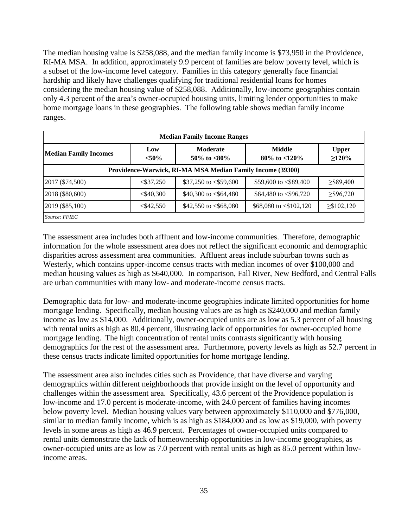The median housing value is \$258,088, and the median family income is \$73,950 in the Providence, RI-MA MSA. In addition, approximately 9.9 percent of families are below poverty level, which is a subset of the low-income level category. Families in this category generally face financial hardship and likely have challenges qualifying for traditional residential loans for homes considering the median housing value of \$258,088. Additionally, low-income geographies contain only 4.3 percent of the area's owner-occupied housing units, limiting lender opportunities to make home mortgage loans in these geographies. The following table shows median family income ranges.

| <b>Median Family Income Ranges</b>                         |                 |                                    |                              |                             |  |  |  |  |  |  |
|------------------------------------------------------------|-----------------|------------------------------------|------------------------------|-----------------------------|--|--|--|--|--|--|
| <b>Median Family Incomes</b>                               | Low<br>$< 50\%$ | <b>Moderate</b><br>50\% to $<80\%$ | Middle<br>80\% to $<$ 120\%  | <b>Upper</b><br>$\geq$ 120% |  |  |  |  |  |  |
| Providence-Warwick, RI-MA MSA Median Family Income (39300) |                 |                                    |                              |                             |  |  |  |  |  |  |
| 2017 (\$74,500)                                            | $<$ \$37,250    | \$37,250 to $<$ \$59,600           | \$59,600 to $<$ \$89,400     | $\geq$ \$89,400             |  |  |  |  |  |  |
| 2018 (\$80,600)                                            | $<$ \$40,300    | \$40,300 to $< $64,480$            | \$64,480 to $< $96,720$      | $\geq$ \$96,720             |  |  |  |  |  |  |
| 2019 (\$85,100)                                            | $<$ \$42,550    | \$42,550 to $< $68,080$            | \$68,080 to $\leq$ \$102,120 | $\geq$ \$102,120            |  |  |  |  |  |  |
| Source: FFIEC                                              |                 |                                    |                              |                             |  |  |  |  |  |  |

The assessment area includes both affluent and low-income communities. Therefore, demographic information for the whole assessment area does not reflect the significant economic and demographic disparities across assessment area communities. Affluent areas include suburban towns such as Westerly, which contains upper-income census tracts with median incomes of over \$100,000 and median housing values as high as \$640,000. In comparison, Fall River, New Bedford, and Central Falls are urban communities with many low- and moderate-income census tracts.

Demographic data for low- and moderate-income geographies indicate limited opportunities for home mortgage lending. Specifically, median housing values are as high as \$240,000 and median family income as low as \$14,000. Additionally, owner-occupied units are as low as 5.3 percent of all housing with rental units as high as 80.4 percent, illustrating lack of opportunities for owner-occupied home mortgage lending. The high concentration of rental units contrasts significantly with housing demographics for the rest of the assessment area. Furthermore, poverty levels as high as 52.7 percent in these census tracts indicate limited opportunities for home mortgage lending.

The assessment area also includes cities such as Providence, that have diverse and varying demographics within different neighborhoods that provide insight on the level of opportunity and challenges within the assessment area. Specifically, 43.6 percent of the Providence population is low-income and 17.0 percent is moderate-income, with 24.0 percent of families having incomes below poverty level. Median housing values vary between approximately \$110,000 and \$776,000, similar to median family income, which is as high as \$184,000 and as low as \$19,000, with poverty levels in some areas as high as 46.9 percent. Percentages of owner-occupied units compared to rental units demonstrate the lack of homeownership opportunities in low-income geographies, as owner-occupied units are as low as 7.0 percent with rental units as high as 85.0 percent within lowincome areas.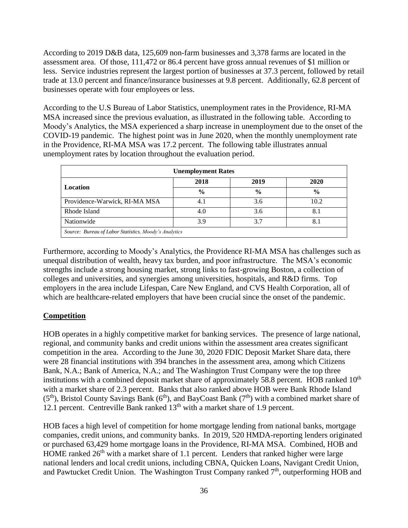According to 2019 D&B data, 125,609 non-farm businesses and 3,378 farms are located in the assessment area. Of those, 111,472 or 86.4 percent have gross annual revenues of \$1 million or less. Service industries represent the largest portion of businesses at 37.3 percent, followed by retail trade at 13.0 percent and finance/insurance businesses at 9.8 percent. Additionally, 62.8 percent of businesses operate with four employees or less.

According to the U.S Bureau of Labor Statistics, unemployment rates in the Providence, RI-MA MSA increased since the previous evaluation, as illustrated in the following table. According to Moody's Analytics, the MSA experienced a sharp increase in unemployment due to the onset of the COVID-19 pandemic. The highest point was in June 2020, when the monthly unemployment rate in the Providence, RI-MA MSA was 17.2 percent. The following table illustrates annual unemployment rates by location throughout the evaluation period.

| <b>Unemployment Rates</b>                             |               |               |               |  |  |  |  |  |  |
|-------------------------------------------------------|---------------|---------------|---------------|--|--|--|--|--|--|
| Location                                              | 2018          | 2019          | 2020          |  |  |  |  |  |  |
|                                                       | $\frac{0}{0}$ | $\frac{6}{9}$ | $\frac{6}{6}$ |  |  |  |  |  |  |
| Providence-Warwick, RI-MA MSA                         | 4.1           | 3.6           | 10.2          |  |  |  |  |  |  |
| Rhode Island                                          | 4.0           | 3.6           | 8.1           |  |  |  |  |  |  |
| Nationwide                                            | 3.9           | 3.7           | 8.1           |  |  |  |  |  |  |
| Source: Bureau of Labor Statistics, Moody's Analytics |               |               |               |  |  |  |  |  |  |

Furthermore, according to Moody's Analytics, the Providence RI-MA MSA has challenges such as unequal distribution of wealth, heavy tax burden, and poor infrastructure. The MSA's economic strengths include a strong housing market, strong links to fast-growing Boston, a collection of colleges and universities, and synergies among universities, hospitals, and R&D firms. Top employers in the area include Lifespan, Care New England, and CVS Health Corporation, all of which are healthcare-related employers that have been crucial since the onset of the pandemic.

## **Competition**

HOB operates in a highly competitive market for banking services. The presence of large national, regional, and community banks and credit unions within the assessment area creates significant competition in the area. According to the June 30, 2020 FDIC Deposit Market Share data, there were 28 financial institutions with 394 branches in the assessment area, among which Citizens Bank, N.A.; Bank of America, N.A.; and The Washington Trust Company were the top three institutions with a combined deposit market share of approximately 58.8 percent. HOB ranked  $10<sup>th</sup>$ with a market share of 2.3 percent. Banks that also ranked above HOB were Bank Rhode Island  $(5<sup>th</sup>)$ , Bristol County Savings Bank  $(6<sup>th</sup>)$ , and BayCoast Bank  $(7<sup>th</sup>)$  with a combined market share of 12.1 percent. Centreville Bank ranked  $13<sup>th</sup>$  with a market share of 1.9 percent.

HOB faces a high level of competition for home mortgage lending from national banks, mortgage companies, credit unions, and community banks. In 2019, 520 HMDA-reporting lenders originated or purchased 63,429 home mortgage loans in the Providence, RI-MA MSA. Combined, HOB and HOME ranked  $26<sup>th</sup>$  with a market share of 1.1 percent. Lenders that ranked higher were large national lenders and local credit unions, including CBNA, Quicken Loans, Navigant Credit Union, and Pawtucket Credit Union. The Washington Trust Company ranked  $7<sup>th</sup>$ , outperforming HOB and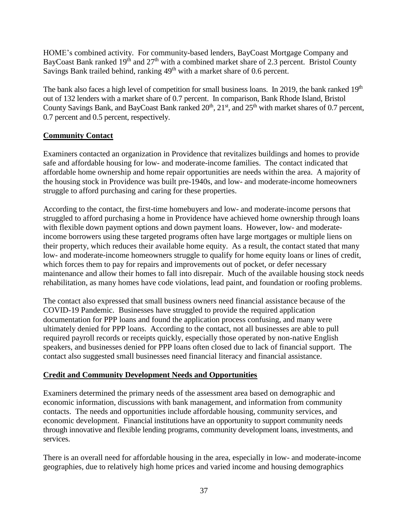HOME's combined activity. For community-based lenders, BayCoast Mortgage Company and BayCoast Bank ranked  $19<sup>th</sup>$  and  $27<sup>th</sup>$  with a combined market share of 2.3 percent. Bristol County Savings Bank trailed behind, ranking 49<sup>th</sup> with a market share of 0.6 percent.

The bank also faces a high level of competition for small business loans. In 2019, the bank ranked  $19<sup>th</sup>$ out of 132 lenders with a market share of 0.7 percent. In comparison, Bank Rhode Island, Bristol County Savings Bank, and BayCoast Bank ranked  $20<sup>th</sup>$ ,  $21<sup>st</sup>$ , and  $25<sup>th</sup>$  with market shares of 0.7 percent, 0.7 percent and 0.5 percent, respectively.

## **Community Contact**

Examiners contacted an organization in Providence that revitalizes buildings and homes to provide safe and affordable housing for low- and moderate-income families. The contact indicated that affordable home ownership and home repair opportunities are needs within the area. A majority of the housing stock in Providence was built pre-1940s, and low- and moderate-income homeowners struggle to afford purchasing and caring for these properties.

According to the contact, the first-time homebuyers and low- and moderate-income persons that struggled to afford purchasing a home in Providence have achieved home ownership through loans with flexible down payment options and down payment loans. However, low- and moderateincome borrowers using these targeted programs often have large mortgages or multiple liens on their property, which reduces their available home equity. As a result, the contact stated that many low- and moderate-income homeowners struggle to qualify for home equity loans or lines of credit, which forces them to pay for repairs and improvements out of pocket, or defer necessary maintenance and allow their homes to fall into disrepair. Much of the available housing stock needs rehabilitation, as many homes have code violations, lead paint, and foundation or roofing problems.

The contact also expressed that small business owners need financial assistance because of the COVID-19 Pandemic. Businesses have struggled to provide the required application documentation for PPP loans and found the application process confusing, and many were ultimately denied for PPP loans. According to the contact, not all businesses are able to pull required payroll records or receipts quickly, especially those operated by non-native English speakers, and businesses denied for PPP loans often closed due to lack of financial support. The contact also suggested small businesses need financial literacy and financial assistance.

## **Credit and Community Development Needs and Opportunities**

Examiners determined the primary needs of the assessment area based on demographic and economic information, discussions with bank management, and information from community contacts. The needs and opportunities include affordable housing, community services, and economic development. Financial institutions have an opportunity to support community needs through innovative and flexible lending programs, community development loans, investments, and services.

There is an overall need for affordable housing in the area, especially in low- and moderate-income geographies, due to relatively high home prices and varied income and housing demographics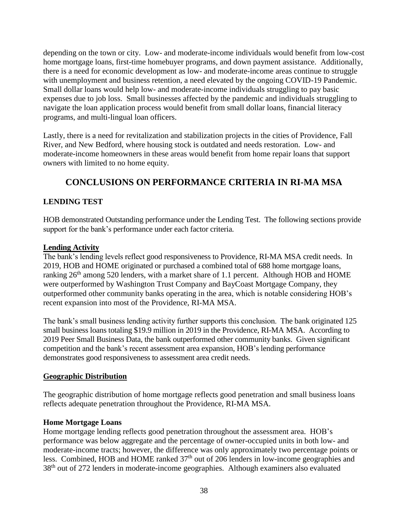depending on the town or city. Low- and moderate-income individuals would benefit from low-cost home mortgage loans, first-time homebuyer programs, and down payment assistance. Additionally, there is a need for economic development as low- and moderate-income areas continue to struggle with unemployment and business retention, a need elevated by the ongoing COVID-19 Pandemic. Small dollar loans would help low- and moderate-income individuals struggling to pay basic expenses due to job loss. Small businesses affected by the pandemic and individuals struggling to navigate the loan application process would benefit from small dollar loans, financial literacy programs, and multi-lingual loan officers.

Lastly, there is a need for revitalization and stabilization projects in the cities of Providence, Fall River, and New Bedford, where housing stock is outdated and needs restoration. Low- and moderate-income homeowners in these areas would benefit from home repair loans that support owners with limited to no home equity.

# **CONCLUSIONS ON PERFORMANCE CRITERIA IN RI-MA MSA**

## <span id="page-39-0"></span>**LENDING TEST**

HOB demonstrated Outstanding performance under the Lending Test. The following sections provide support for the bank's performance under each factor criteria.

### **Lending Activity**

The bank's lending levels reflect good responsiveness to Providence, RI-MA MSA credit needs. In 2019, HOB and HOME originated or purchased a combined total of 688 home mortgage loans, ranking  $26<sup>th</sup>$  among 520 lenders, with a market share of 1.1 percent. Although HOB and HOME were outperformed by Washington Trust Company and BayCoast Mortgage Company, they outperformed other community banks operating in the area, which is notable considering HOB's recent expansion into most of the Providence, RI-MA MSA.

The bank's small business lending activity further supports this conclusion. The bank originated 125 small business loans totaling \$19.9 million in 2019 in the Providence, RI-MA MSA. According to 2019 Peer Small Business Data, the bank outperformed other community banks. Given significant competition and the bank's recent assessment area expansion, HOB's lending performance demonstrates good responsiveness to assessment area credit needs.

## **Geographic Distribution**

The geographic distribution of home mortgage reflects good penetration and small business loans reflects adequate penetration throughout the Providence, RI-MA MSA.

## **Home Mortgage Loans**

Home mortgage lending reflects good penetration throughout the assessment area. HOB's performance was below aggregate and the percentage of owner-occupied units in both low- and moderate-income tracts; however, the difference was only approximately two percentage points or less. Combined, HOB and HOME ranked  $37<sup>th</sup>$  out of 206 lenders in low-income geographies and 38th out of 272 lenders in moderate-income geographies. Although examiners also evaluated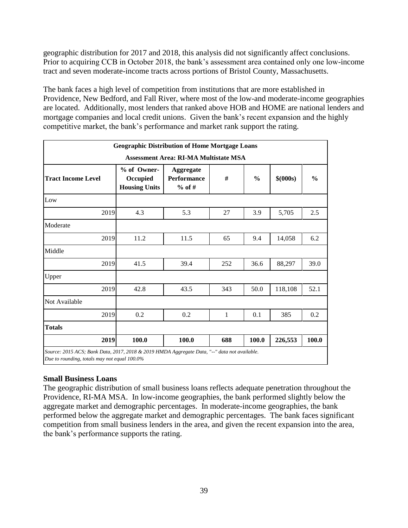geographic distribution for 2017 and 2018, this analysis did not significantly affect conclusions. Prior to acquiring CCB in October 2018, the bank's assessment area contained only one low-income tract and seven moderate-income tracts across portions of Bristol County, Massachusetts.

The bank faces a high level of competition from institutions that are more established in Providence, New Bedford, and Fall River, where most of the low-and moderate-income geographies are located. Additionally, most lenders that ranked above HOB and HOME are national lenders and mortgage companies and local credit unions. Given the bank's recent expansion and the highly competitive market, the bank's performance and market rank support the rating.

|                                                                                                                                                                       | <b>Geographic Distribution of Home Mortgage Loans</b> |       |              |       |         |       |  |  |  |  |  |
|-----------------------------------------------------------------------------------------------------------------------------------------------------------------------|-------------------------------------------------------|-------|--------------|-------|---------|-------|--|--|--|--|--|
| <b>Assessment Area: RI-MA Multistate MSA</b>                                                                                                                          |                                                       |       |              |       |         |       |  |  |  |  |  |
| % of Owner-<br><b>Aggregate</b><br>#<br><b>Performance</b><br>$\frac{0}{0}$<br>\$ (000s)<br><b>Tract Income Level</b><br>Occupied<br><b>Housing Units</b><br>$%$ of # |                                                       |       |              |       |         |       |  |  |  |  |  |
| Low                                                                                                                                                                   |                                                       |       |              |       |         |       |  |  |  |  |  |
| 2019                                                                                                                                                                  | 4.3                                                   | 5.3   | 27           | 3.9   | 5,705   | 2.5   |  |  |  |  |  |
| Moderate                                                                                                                                                              |                                                       |       |              |       |         |       |  |  |  |  |  |
| 2019                                                                                                                                                                  | 11.2                                                  | 11.5  | 65           | 9.4   | 14,058  | 6.2   |  |  |  |  |  |
| Middle                                                                                                                                                                |                                                       |       |              |       |         |       |  |  |  |  |  |
| 2019                                                                                                                                                                  | 41.5                                                  | 39.4  | 252          | 36.6  | 88,297  | 39.0  |  |  |  |  |  |
| Upper                                                                                                                                                                 |                                                       |       |              |       |         |       |  |  |  |  |  |
| 2019                                                                                                                                                                  | 42.8                                                  | 43.5  | 343          | 50.0  | 118,108 | 52.1  |  |  |  |  |  |
| Not Available                                                                                                                                                         |                                                       |       |              |       |         |       |  |  |  |  |  |
| 2019                                                                                                                                                                  | 0.2                                                   | 0.2   | $\mathbf{1}$ | 0.1   | 385     | 0.2   |  |  |  |  |  |
| <b>Totals</b>                                                                                                                                                         |                                                       |       |              |       |         |       |  |  |  |  |  |
| 2019                                                                                                                                                                  | 100.0                                                 | 100.0 | 688          | 100.0 | 226,553 | 100.0 |  |  |  |  |  |
| Source: 2015 ACS; Bank Data, 2017, 2018 & 2019 HMDA Aggregate Data, "--" data not available.<br>Due to rounding, totals may not equal 100.0%                          |                                                       |       |              |       |         |       |  |  |  |  |  |

## **Small Business Loans**

The geographic distribution of small business loans reflects adequate penetration throughout the Providence, RI-MA MSA. In low-income geographies, the bank performed slightly below the aggregate market and demographic percentages. In moderate-income geographies, the bank performed below the aggregate market and demographic percentages. The bank faces significant competition from small business lenders in the area, and given the recent expansion into the area, the bank's performance supports the rating.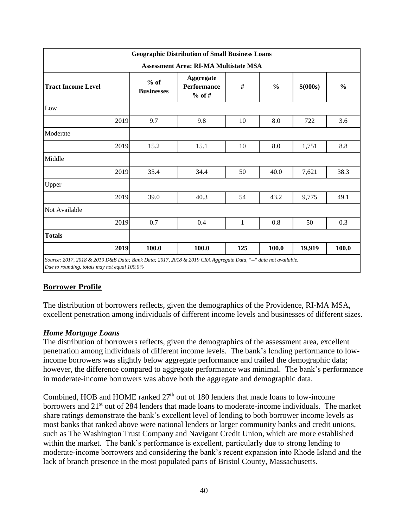| <b>Geographic Distribution of Small Business Loans</b> |      |                             |                                                    |     |               |           |               |  |  |  |  |
|--------------------------------------------------------|------|-----------------------------|----------------------------------------------------|-----|---------------|-----------|---------------|--|--|--|--|
| <b>Assessment Area: RI-MA Multistate MSA</b>           |      |                             |                                                    |     |               |           |               |  |  |  |  |
| <b>Tract Income Level</b>                              |      | $%$ of<br><b>Businesses</b> | <b>Aggregate</b><br><b>Performance</b><br>$%$ of # | #   | $\frac{0}{0}$ | \$ (000s) | $\frac{0}{0}$ |  |  |  |  |
| Low                                                    |      |                             |                                                    |     |               |           |               |  |  |  |  |
|                                                        | 2019 | 9.7                         | 9.8                                                | 10  | 8.0           | 722       | 3.6           |  |  |  |  |
| Moderate                                               |      |                             |                                                    |     |               |           |               |  |  |  |  |
|                                                        | 2019 | 15.2                        | 15.1                                               | 10  | 8.0           | 1,751     | 8.8           |  |  |  |  |
| Middle                                                 |      |                             |                                                    |     |               |           |               |  |  |  |  |
|                                                        | 2019 | 35.4                        | 34.4                                               | 50  | 40.0          | 7,621     | 38.3          |  |  |  |  |
| Upper                                                  |      |                             |                                                    |     |               |           |               |  |  |  |  |
|                                                        | 2019 | 39.0                        | 40.3                                               | 54  | 43.2          | 9,775     | 49.1          |  |  |  |  |
| Not Available                                          |      |                             |                                                    |     |               |           |               |  |  |  |  |
|                                                        | 2019 | 0.7                         | 0.4                                                | 1   | 0.8           | 50        | 0.3           |  |  |  |  |
| <b>Totals</b>                                          |      |                             |                                                    |     |               |           |               |  |  |  |  |
|                                                        | 2019 | 100.0                       | 100.0                                              | 125 | 100.0         | 19,919    | 100.0         |  |  |  |  |

## **Borrower Profile**

The distribution of borrowers reflects, given the demographics of the Providence, RI-MA MSA, excellent penetration among individuals of different income levels and businesses of different sizes.

#### *Home Mortgage Loans*

The distribution of borrowers reflects, given the demographics of the assessment area, excellent penetration among individuals of different income levels. The bank's lending performance to lowincome borrowers was slightly below aggregate performance and trailed the demographic data; however, the difference compared to aggregate performance was minimal. The bank's performance in moderate-income borrowers was above both the aggregate and demographic data.

Combined, HOB and HOME ranked  $27<sup>th</sup>$  out of 180 lenders that made loans to low-income borrowers and 21<sup>st</sup> out of 284 lenders that made loans to moderate-income individuals. The market share ratings demonstrate the bank's excellent level of lending to both borrower income levels as most banks that ranked above were national lenders or larger community banks and credit unions, such as The Washington Trust Company and Navigant Credit Union, which are more established within the market. The bank's performance is excellent, particularly due to strong lending to moderate-income borrowers and considering the bank's recent expansion into Rhode Island and the lack of branch presence in the most populated parts of Bristol County, Massachusetts.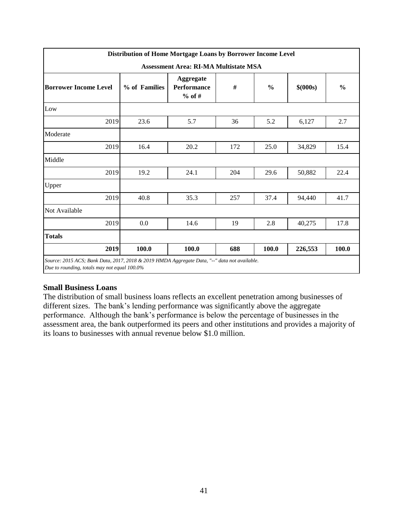|                                                                                                                                              | Distribution of Home Mortgage Loans by Borrower Income Level |                                             |     |               |          |               |  |  |  |  |  |
|----------------------------------------------------------------------------------------------------------------------------------------------|--------------------------------------------------------------|---------------------------------------------|-----|---------------|----------|---------------|--|--|--|--|--|
| <b>Assessment Area: RI-MA Multistate MSA</b>                                                                                                 |                                                              |                                             |     |               |          |               |  |  |  |  |  |
| <b>Borrower Income Level</b>                                                                                                                 | % of Families                                                | <b>Aggregate</b><br>Performance<br>$%$ of # | #   | $\frac{0}{0}$ | \$(000s) | $\frac{0}{0}$ |  |  |  |  |  |
| Low                                                                                                                                          |                                                              |                                             |     |               |          |               |  |  |  |  |  |
| 2019                                                                                                                                         | 23.6                                                         | 5.7                                         | 36  | 5.2           | 6,127    | 2.7           |  |  |  |  |  |
| Moderate                                                                                                                                     |                                                              |                                             |     |               |          |               |  |  |  |  |  |
| 2019                                                                                                                                         | 16.4                                                         | 20.2                                        | 172 | 25.0          | 34,829   | 15.4          |  |  |  |  |  |
| Middle                                                                                                                                       |                                                              |                                             |     |               |          |               |  |  |  |  |  |
| 2019                                                                                                                                         | 19.2                                                         | 24.1                                        | 204 | 29.6          | 50,882   | 22.4          |  |  |  |  |  |
| Upper                                                                                                                                        |                                                              |                                             |     |               |          |               |  |  |  |  |  |
| 2019                                                                                                                                         | 40.8                                                         | 35.3                                        | 257 | 37.4          | 94,440   | 41.7          |  |  |  |  |  |
| Not Available                                                                                                                                |                                                              |                                             |     |               |          |               |  |  |  |  |  |
| 2019                                                                                                                                         | 0.0                                                          | 14.6                                        | 19  | 2.8           | 40,275   | 17.8          |  |  |  |  |  |
| <b>Totals</b>                                                                                                                                |                                                              |                                             |     |               |          |               |  |  |  |  |  |
| 2019                                                                                                                                         | 100.0                                                        | 100.0                                       | 688 | 100.0         | 226,553  | 100.0         |  |  |  |  |  |
| Source: 2015 ACS; Bank Data, 2017, 2018 & 2019 HMDA Aggregate Data, "--" data not available.<br>Due to rounding, totals may not equal 100.0% |                                                              |                                             |     |               |          |               |  |  |  |  |  |

#### **Small Business Loans**

The distribution of small business loans reflects an excellent penetration among businesses of different sizes. The bank's lending performance was significantly above the aggregate performance. Although the bank's performance is below the percentage of businesses in the assessment area, the bank outperformed its peers and other institutions and provides a majority of its loans to businesses with annual revenue below \$1.0 million.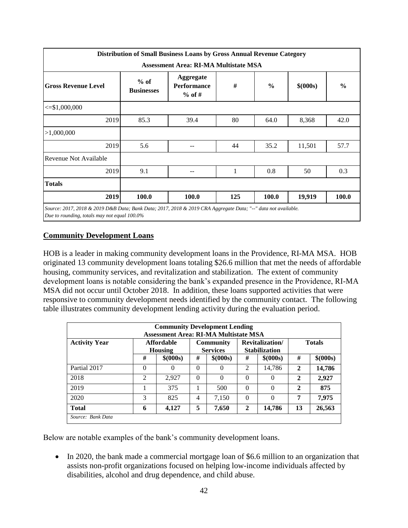|                                              |                             | Distribution of Small Business Loans by Gross Annual Revenue Category |     |               |           |               |  |  |  |  |  |
|----------------------------------------------|-----------------------------|-----------------------------------------------------------------------|-----|---------------|-----------|---------------|--|--|--|--|--|
| <b>Assessment Area: RI-MA Multistate MSA</b> |                             |                                                                       |     |               |           |               |  |  |  |  |  |
| <b>Gross Revenue Level</b>                   | $%$ of<br><b>Businesses</b> | <b>Aggregate</b><br><b>Performance</b><br>$%$ of #                    | #   | $\frac{0}{0}$ | \$ (000s) | $\frac{0}{0}$ |  |  |  |  |  |
| $\leq$ \$1,000,000                           |                             |                                                                       |     |               |           |               |  |  |  |  |  |
| 2019                                         | 85.3                        | 39.4                                                                  | 80  | 64.0          | 8,368     | 42.0          |  |  |  |  |  |
| >1,000,000                                   |                             |                                                                       |     |               |           |               |  |  |  |  |  |
| 2019                                         | 5.6                         |                                                                       | 44  | 35.2          | 11,501    | 57.7          |  |  |  |  |  |
| Revenue Not Available                        |                             |                                                                       |     |               |           |               |  |  |  |  |  |
| 2019                                         | 9.1                         |                                                                       |     | 0.8           | 50        | 0.3           |  |  |  |  |  |
| <b>Totals</b>                                |                             |                                                                       |     |               |           |               |  |  |  |  |  |
| 2019                                         | 100.0                       | 100.0                                                                 | 125 | 100.0         | 19,919    | <b>100.0</b>  |  |  |  |  |  |

## **Community Development Loans**

HOB is a leader in making community development loans in the Providence, RI-MA MSA. HOB originated 13 community development loans totaling \$26.6 million that met the needs of affordable housing, community services, and revitalization and stabilization. The extent of community development loans is notable considering the bank's expanded presence in the Providence, RI-MA MSA did not occur until October 2018. In addition, these loans supported activities that were responsive to community development needs identified by the community contact. The following table illustrates community development lending activity during the evaluation period.

| <b>Community Development Lending</b><br><b>Assessment Area: RI-MA Multistate MSA</b> |                |                                     |          |                              |                |                                         |              |               |  |  |
|--------------------------------------------------------------------------------------|----------------|-------------------------------------|----------|------------------------------|----------------|-----------------------------------------|--------------|---------------|--|--|
| <b>Activity Year</b>                                                                 |                | <b>Affordable</b><br><b>Housing</b> |          | Community<br><b>Services</b> |                | Revitalization/<br><b>Stabilization</b> |              | <b>Totals</b> |  |  |
|                                                                                      | #              | \$ (000s)                           | #        | \$ (000s)                    | #              | \$ (000s)                               | #            | \$ (000s)     |  |  |
| Partial 2017                                                                         | $\theta$       | $\left($                            | $\Omega$ | $\Omega$                     | $\mathfrak{D}$ | 14,786                                  | $\mathbf{2}$ | 14,786        |  |  |
| 2018                                                                                 | $\overline{2}$ | 2,927                               | $\Omega$ | $\theta$                     | $\theta$       | $\Omega$                                | $\mathbf{2}$ | 2,927         |  |  |
| 2019                                                                                 |                | 375                                 |          | 500                          | 0              | $\Omega$                                | $\mathbf{2}$ | 875           |  |  |
| 2020                                                                                 | 3              | 825                                 | 4        | 7,150                        | 0              | $\Omega$                                | 7            | 7,975         |  |  |
| <b>Total</b>                                                                         | 6              | 4,127                               | 5        | 7,650                        | $\mathbf{2}$   | 14,786                                  | 13           | 26,563        |  |  |
| Source: Bank Data                                                                    |                |                                     |          |                              |                |                                         |              |               |  |  |

Below are notable examples of the bank's community development loans.

• In 2020, the bank made a commercial mortgage loan of \$6.6 million to an organization that assists non-profit organizations focused on helping low-income individuals affected by disabilities, alcohol and drug dependence, and child abuse.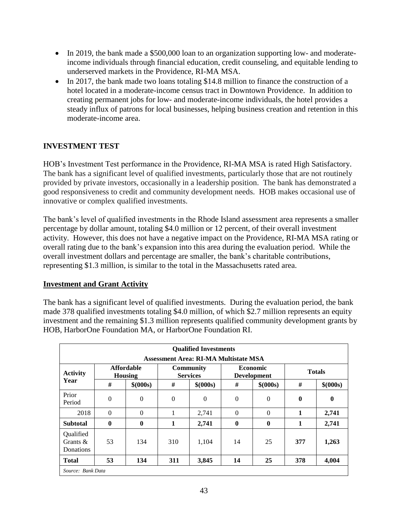- In 2019, the bank made a \$500,000 loan to an organization supporting low- and moderateincome individuals through financial education, credit counseling, and equitable lending to underserved markets in the Providence, RI-MA MSA.
- In 2017, the bank made two loans totaling \$14.8 million to finance the construction of a hotel located in a moderate-income census tract in Downtown Providence. In addition to creating permanent jobs for low- and moderate-income individuals, the hotel provides a steady influx of patrons for local businesses, helping business creation and retention in this moderate-income area.

## **INVESTMENT TEST**

HOB's Investment Test performance in the Providence, RI-MA MSA is rated High Satisfactory. The bank has a significant level of qualified investments, particularly those that are not routinely provided by private investors, occasionally in a leadership position. The bank has demonstrated a good responsiveness to credit and community development needs. HOB makes occasional use of innovative or complex qualified investments.

The bank's level of qualified investments in the Rhode Island assessment area represents a smaller percentage by dollar amount, totaling \$4.0 million or 12 percent, of their overall investment activity. However, this does not have a negative impact on the Providence, RI-MA MSA rating or overall rating due to the bank's expansion into this area during the evaluation period. While the overall investment dollars and percentage are smaller, the bank's charitable contributions, representing \$1.3 million, is similar to the total in the Massachusetts rated area.

## **Investment and Grant Activity**

The bank has a significant level of qualified investments. During the evaluation period, the bank made 378 qualified investments totaling \$4.0 million, of which \$2.7 million represents an equity investment and the remaining \$1.3 million represents qualified community development grants by HOB, HarborOne Foundation MA, or HarborOne Foundation RI.

|                                              |                                     |           |                | <b>Qualified Investments</b>                 |              |                                       |               |           |
|----------------------------------------------|-------------------------------------|-----------|----------------|----------------------------------------------|--------------|---------------------------------------|---------------|-----------|
|                                              |                                     |           |                | <b>Assessment Area: RI-MA Multistate MSA</b> |              |                                       |               |           |
| <b>Activity</b>                              | <b>Affordable</b><br><b>Housing</b> |           |                | <b>Community</b><br><b>Services</b>          |              | <b>Economic</b><br><b>Development</b> | <b>Totals</b> |           |
| Year                                         | #                                   | \$ (000s) | #              | \$ (000s)                                    | #            | \$ (000s)                             | #             | \$ (000s) |
| Prior<br>Period                              | $\theta$                            | $\theta$  | $\overline{0}$ | $\mathbf{0}$                                 | $\mathbf{0}$ | $\overline{0}$                        | $\bf{0}$      | $\bf{0}$  |
| 2018                                         | $\Omega$                            | $\Omega$  | 1              | 2,741                                        | $\mathbf{0}$ | $\overline{0}$                        | 1             | 2,741     |
| <b>Subtotal</b>                              | $\mathbf{0}$                        | $\bf{0}$  | 1              | 2,741                                        | $\mathbf{0}$ | $\bf{0}$                              | 1             | 2,741     |
| Oualified<br>Grants $\&$<br><b>Donations</b> | 53                                  | 134       | 310            | 1.104                                        | 14           | 25                                    | 377           | 1,263     |
| Total                                        | 53                                  | 134       | 311            | 3,845                                        | 14           | 25                                    | 378           | 4,004     |
| Source: Bank Data                            |                                     |           |                |                                              |              |                                       |               |           |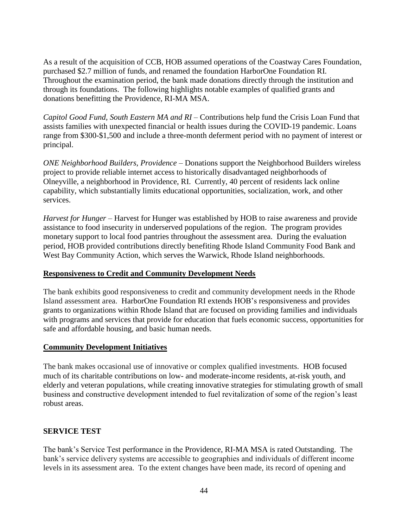As a result of the acquisition of CCB, HOB assumed operations of the Coastway Cares Foundation, purchased \$2.7 million of funds, and renamed the foundation HarborOne Foundation RI. Throughout the examination period, the bank made donations directly through the institution and through its foundations. The following highlights notable examples of qualified grants and donations benefitting the Providence, RI-MA MSA.

*Capitol Good Fund, South Eastern MA and RI* – Contributions help fund the Crisis Loan Fund that assists families with unexpected financial or health issues during the COVID-19 pandemic. Loans range from \$300-\$1,500 and include a three-month deferment period with no payment of interest or principal.

*ONE Neighborhood Builders, Providence* – Donations support the Neighborhood Builders wireless project to provide reliable internet access to historically disadvantaged neighborhoods of Olneyville, a neighborhood in Providence, RI. Currently, 40 percent of residents lack online capability, which substantially limits educational opportunities, socialization, work, and other services.

*Harvest for Hunger* – Harvest for Hunger was established by HOB to raise awareness and provide assistance to food insecurity in underserved populations of the region. The program provides monetary support to local food pantries throughout the assessment area. During the evaluation period, HOB provided contributions directly benefiting Rhode Island Community Food Bank and West Bay Community Action, which serves the Warwick, Rhode Island neighborhoods.

#### **Responsiveness to Credit and Community Development Needs**

The bank exhibits good responsiveness to credit and community development needs in the Rhode Island assessment area. HarborOne Foundation RI extends HOB's responsiveness and provides grants to organizations within Rhode Island that are focused on providing families and individuals with programs and services that provide for education that fuels economic success, opportunities for safe and affordable housing, and basic human needs.

#### **Community Development Initiatives**

The bank makes occasional use of innovative or complex qualified investments. HOB focused much of its charitable contributions on low- and moderate-income residents, at-risk youth, and elderly and veteran populations, while creating innovative strategies for stimulating growth of small business and constructive development intended to fuel revitalization of some of the region's least robust areas.

## **SERVICE TEST**

The bank's Service Test performance in the Providence, RI-MA MSA is rated Outstanding. The bank's service delivery systems are accessible to geographies and individuals of different income levels in its assessment area. To the extent changes have been made, its record of opening and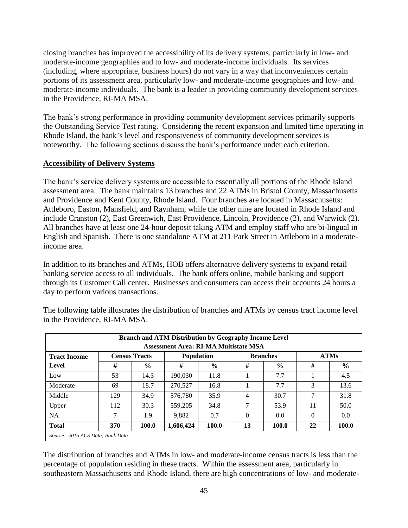closing branches has improved the accessibility of its delivery systems, particularly in low- and moderate-income geographies and to low- and moderate-income individuals. Its services (including, where appropriate, business hours) do not vary in a way that inconveniences certain portions of its assessment area, particularly low- and moderate-income geographies and low- and moderate-income individuals. The bank is a leader in providing community development services in the Providence, RI-MA MSA.

The bank's strong performance in providing community development services primarily supports the Outstanding Service Test rating. Considering the recent expansion and limited time operating in Rhode Island, the bank's level and responsiveness of community development services is noteworthy. The following sections discuss the bank's performance under each criterion.

### **Accessibility of Delivery Systems**

The bank's service delivery systems are accessible to essentially all portions of the Rhode Island assessment area. The bank maintains 13 branches and 22 ATMs in Bristol County, Massachusetts and Providence and Kent County, Rhode Island. Four branches are located in Massachusetts: Attleboro, Easton, Mansfield, and Raynham, while the other nine are located in Rhode Island and include Cranston (2), East Greenwich, East Providence, Lincoln, Providence (2), and Warwick (2). All branches have at least one 24-hour deposit taking ATM and employ staff who are bi-lingual in English and Spanish. There is one standalone ATM at 211 Park Street in Attleboro in a moderateincome area.

In addition to its branches and ATMs, HOB offers alternative delivery systems to expand retail banking service access to all individuals. The bank offers online, mobile banking and support through its Customer Call center. Businesses and consumers can access their accounts 24 hours a day to perform various transactions.

| <b>Branch and ATM Distribution by Geography Income Level</b><br><b>Assessment Area: RI-MA Multistate MSA</b> |                      |       |                   |               |                 |       |             |               |
|--------------------------------------------------------------------------------------------------------------|----------------------|-------|-------------------|---------------|-----------------|-------|-------------|---------------|
| <b>Tract Income</b>                                                                                          | <b>Census Tracts</b> |       | <b>Population</b> |               | <b>Branches</b> |       | <b>ATMs</b> |               |
| Level                                                                                                        | #                    | $\%$  | #                 | $\frac{6}{6}$ | #               | $\%$  | #           | $\frac{0}{0}$ |
| Low                                                                                                          | 53                   | 14.3  | 190,030           | 11.8          |                 | 7.7   |             | 4.5           |
| Moderate                                                                                                     | 69                   | 18.7  | 270,527           | 16.8          |                 | 7.7   | 3           | 13.6          |
| Middle                                                                                                       | 129                  | 34.9  | 576,780           | 35.9          | 4               | 30.7  | 7           | 31.8          |
| Upper                                                                                                        | 112                  | 30.3  | 559,205           | 34.8          | 7               | 53.9  | 11          | 50.0          |
| <b>NA</b>                                                                                                    | 7                    | 1.9   | 9.882             | 0.7           | $\Omega$        | 0.0   | $\Omega$    | 0.0           |
| <b>Total</b>                                                                                                 | 370                  | 100.0 | 1,606,424         | 100.0         | 13              | 100.0 | 22          | 100.0         |
| Source: 2015 ACS Data; Bank Data                                                                             |                      |       |                   |               |                 |       |             |               |

The following table illustrates the distribution of branches and ATMs by census tract income level in the Providence, RI-MA MSA.

The distribution of branches and ATMs in low- and moderate-income census tracts is less than the percentage of population residing in these tracts. Within the assessment area, particularly in southeastern Massachusetts and Rhode Island, there are high concentrations of low- and moderate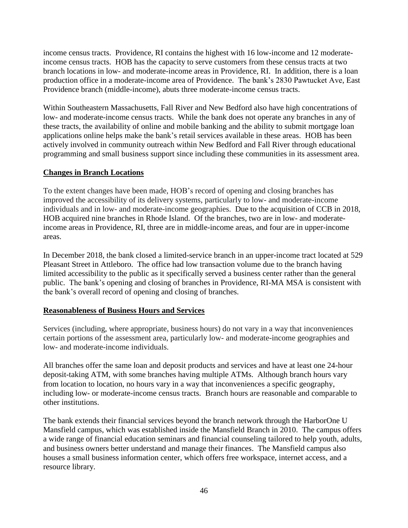income census tracts. Providence, RI contains the highest with 16 low-income and 12 moderateincome census tracts. HOB has the capacity to serve customers from these census tracts at two branch locations in low- and moderate-income areas in Providence, RI. In addition, there is a loan production office in a moderate-income area of Providence. The bank's 2830 Pawtucket Ave, East Providence branch (middle-income), abuts three moderate-income census tracts.

Within Southeastern Massachusetts, Fall River and New Bedford also have high concentrations of low- and moderate-income census tracts. While the bank does not operate any branches in any of these tracts, the availability of online and mobile banking and the ability to submit mortgage loan applications online helps make the bank's retail services available in these areas. HOB has been actively involved in community outreach within New Bedford and Fall River through educational programming and small business support since including these communities in its assessment area.

### **Changes in Branch Locations**

To the extent changes have been made, HOB's record of opening and closing branches has improved the accessibility of its delivery systems, particularly to low- and moderate-income individuals and in low- and moderate-income geographies. Due to the acquisition of CCB in 2018, HOB acquired nine branches in Rhode Island. Of the branches, two are in low- and moderateincome areas in Providence, RI, three are in middle-income areas, and four are in upper-income areas.

In December 2018, the bank closed a limited-service branch in an upper-income tract located at 529 Pleasant Street in Attleboro. The office had low transaction volume due to the branch having limited accessibility to the public as it specifically served a business center rather than the general public. The bank's opening and closing of branches in Providence, RI-MA MSA is consistent with the bank's overall record of opening and closing of branches.

#### **Reasonableness of Business Hours and Services**

Services (including, where appropriate, business hours) do not vary in a way that inconveniences certain portions of the assessment area, particularly low- and moderate-income geographies and low- and moderate-income individuals.

All branches offer the same loan and deposit products and services and have at least one 24-hour deposit-taking ATM, with some branches having multiple ATMs. Although branch hours vary from location to location, no hours vary in a way that inconveniences a specific geography, including low- or moderate-income census tracts. Branch hours are reasonable and comparable to other institutions.

The bank extends their financial services beyond the branch network through the HarborOne U Mansfield campus, which was established inside the Mansfield Branch in 2010. The campus offers a wide range of financial education seminars and financial counseling tailored to help youth, adults, and business owners better understand and manage their finances. The Mansfield campus also houses a small business information center, which offers free workspace, internet access, and a resource library.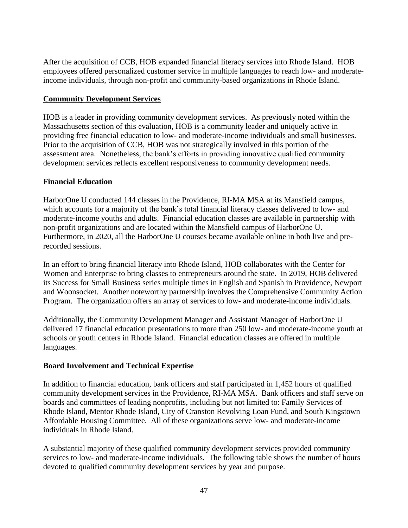After the acquisition of CCB, HOB expanded financial literacy services into Rhode Island. HOB employees offered personalized customer service in multiple languages to reach low- and moderateincome individuals, through non-profit and community-based organizations in Rhode Island.

## **Community Development Services**

HOB is a leader in providing community development services. As previously noted within the Massachusetts section of this evaluation, HOB is a community leader and uniquely active in providing free financial education to low- and moderate-income individuals and small businesses. Prior to the acquisition of CCB, HOB was not strategically involved in this portion of the assessment area. Nonetheless, the bank's efforts in providing innovative qualified community development services reflects excellent responsiveness to community development needs.

### **Financial Education**

HarborOne U conducted 144 classes in the Providence, RI-MA MSA at its Mansfield campus, which accounts for a majority of the bank's total financial literacy classes delivered to low- and moderate-income youths and adults. Financial education classes are available in partnership with non-profit organizations and are located within the Mansfield campus of HarborOne U. Furthermore, in 2020, all the HarborOne U courses became available online in both live and prerecorded sessions.

In an effort to bring financial literacy into Rhode Island, HOB collaborates with the Center for Women and Enterprise to bring classes to entrepreneurs around the state. In 2019, HOB delivered its Success for Small Business series multiple times in English and Spanish in Providence, Newport and Woonsocket. Another noteworthy partnership involves the Comprehensive Community Action Program. The organization offers an array of services to low- and moderate-income individuals.

Additionally, the Community Development Manager and Assistant Manager of HarborOne U delivered 17 financial education presentations to more than 250 low- and moderate-income youth at schools or youth centers in Rhode Island. Financial education classes are offered in multiple languages.

#### **Board Involvement and Technical Expertise**

In addition to financial education, bank officers and staff participated in 1,452 hours of qualified community development services in the Providence, RI-MA MSA. Bank officers and staff serve on boards and committees of leading nonprofits, including but not limited to: Family Services of Rhode Island, Mentor Rhode Island, City of Cranston Revolving Loan Fund, and South Kingstown Affordable Housing Committee. All of these organizations serve low- and moderate-income individuals in Rhode Island.

A substantial majority of these qualified community development services provided community services to low- and moderate-income individuals. The following table shows the number of hours devoted to qualified community development services by year and purpose.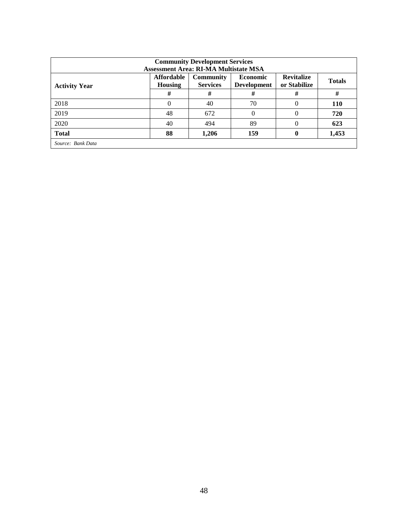| <b>Community Development Services</b><br><b>Assessment Area: RI-MA Multistate MSA</b> |                                     |                                     |                                       |                                   |               |  |
|---------------------------------------------------------------------------------------|-------------------------------------|-------------------------------------|---------------------------------------|-----------------------------------|---------------|--|
| <b>Activity Year</b>                                                                  | <b>Affordable</b><br><b>Housing</b> | <b>Community</b><br><b>Services</b> | <b>Economic</b><br><b>Development</b> | <b>Revitalize</b><br>or Stabilize | <b>Totals</b> |  |
|                                                                                       | #                                   | #                                   | #                                     | #                                 | #             |  |
| 2018                                                                                  | 0                                   | 40                                  | 70                                    | 0                                 | <b>110</b>    |  |
| 2019                                                                                  | 48                                  | 672                                 | 0                                     | 0                                 | 720           |  |
| 2020                                                                                  | 40                                  | 494                                 | 89                                    | 0                                 | 623           |  |
| <b>Total</b>                                                                          | 88                                  | 1,206                               | 159                                   | 0                                 | 1,453         |  |
| Source: Bank Data                                                                     |                                     |                                     |                                       |                                   |               |  |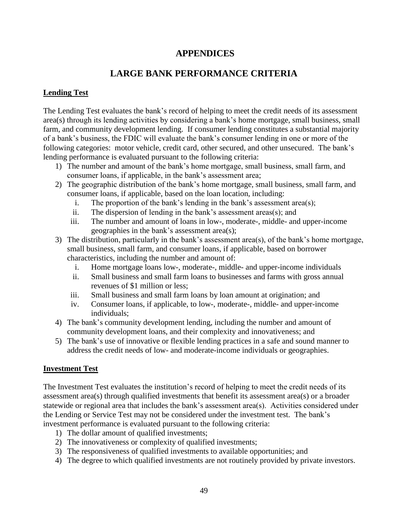## <span id="page-50-0"></span>**APPENDICES**

# **LARGE BANK PERFORMANCE CRITERIA**

## <span id="page-50-1"></span>**Lending Test**

The Lending Test evaluates the bank's record of helping to meet the credit needs of its assessment area(s) through its lending activities by considering a bank's home mortgage, small business, small farm, and community development lending. If consumer lending constitutes a substantial majority of a bank's business, the FDIC will evaluate the bank's consumer lending in one or more of the following categories: motor vehicle, credit card, other secured, and other unsecured. The bank's lending performance is evaluated pursuant to the following criteria:

- 1) The number and amount of the bank's home mortgage, small business, small farm, and consumer loans, if applicable, in the bank's assessment area;
- 2) The geographic distribution of the bank's home mortgage, small business, small farm, and consumer loans, if applicable, based on the loan location, including:
	- i. The proportion of the bank's lending in the bank's assessment area(s);
	- ii. The dispersion of lending in the bank's assessment areas(s); and
	- iii. The number and amount of loans in low-, moderate-, middle- and upper-income geographies in the bank's assessment area(s);
- 3) The distribution, particularly in the bank's assessment area(s), of the bank's home mortgage, small business, small farm, and consumer loans, if applicable, based on borrower characteristics, including the number and amount of:
	- i. Home mortgage loans low-, moderate-, middle- and upper-income individuals
	- ii. Small business and small farm loans to businesses and farms with gross annual revenues of \$1 million or less;
	- iii. Small business and small farm loans by loan amount at origination; and
	- iv. Consumer loans, if applicable, to low-, moderate-, middle- and upper-income individuals;
- 4) The bank's community development lending, including the number and amount of community development loans, and their complexity and innovativeness; and
- 5) The bank's use of innovative or flexible lending practices in a safe and sound manner to address the credit needs of low- and moderate-income individuals or geographies.

## **Investment Test**

The Investment Test evaluates the institution's record of helping to meet the credit needs of its assessment area(s) through qualified investments that benefit its assessment area(s) or a broader statewide or regional area that includes the bank's assessment area(s). Activities considered under the Lending or Service Test may not be considered under the investment test. The bank's investment performance is evaluated pursuant to the following criteria:

- 1) The dollar amount of qualified investments;
- 2) The innovativeness or complexity of qualified investments;
- 3) The responsiveness of qualified investments to available opportunities; and
- 4) The degree to which qualified investments are not routinely provided by private investors.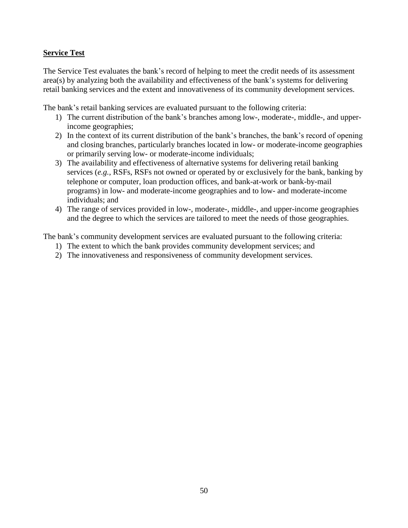## **Service Test**

The Service Test evaluates the bank's record of helping to meet the credit needs of its assessment area(s) by analyzing both the availability and effectiveness of the bank's systems for delivering retail banking services and the extent and innovativeness of its community development services.

The bank's retail banking services are evaluated pursuant to the following criteria:

- 1) The current distribution of the bank's branches among low-, moderate-, middle-, and upperincome geographies;
- 2) In the context of its current distribution of the bank's branches, the bank's record of opening and closing branches, particularly branches located in low- or moderate-income geographies or primarily serving low- or moderate-income individuals;
- 3) The availability and effectiveness of alternative systems for delivering retail banking services (*e.g.,* RSFs, RSFs not owned or operated by or exclusively for the bank, banking by telephone or computer, loan production offices, and bank-at-work or bank-by-mail programs) in low- and moderate-income geographies and to low- and moderate-income individuals; and
- 4) The range of services provided in low-, moderate-, middle-, and upper-income geographies and the degree to which the services are tailored to meet the needs of those geographies.

The bank's community development services are evaluated pursuant to the following criteria:

- 1) The extent to which the bank provides community development services; and
- 2) The innovativeness and responsiveness of community development services.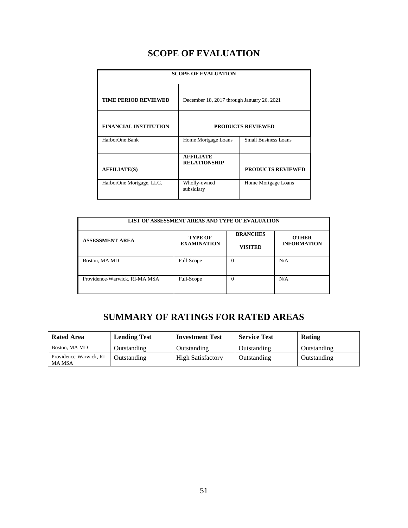# **SCOPE OF EVALUATION**

<span id="page-52-0"></span>

| <b>SCOPE OF EVALUATION</b>   |                                            |                             |  |  |  |
|------------------------------|--------------------------------------------|-----------------------------|--|--|--|
| <b>TIME PERIOD REVIEWED</b>  | December 18, 2017 through January 26, 2021 |                             |  |  |  |
| <b>FINANCIAL INSTITUTION</b> | <b>PRODUCTS REVIEWED</b>                   |                             |  |  |  |
| HarborOne Bank               | Home Mortgage Loans                        | <b>Small Business Loans</b> |  |  |  |
| <b>AFFILIATE(S)</b>          | <b>AFFILIATE</b><br><b>RELATIONSHIP</b>    | <b>PRODUCTS REVIEWED</b>    |  |  |  |
| HarborOne Mortgage, LLC.     | Wholly-owned<br>subsidiary                 | Home Mortgage Loans         |  |  |  |

| LIST OF ASSESSMENT AREAS AND TYPE OF EVALUATION |                                      |                                   |                                    |  |  |
|-------------------------------------------------|--------------------------------------|-----------------------------------|------------------------------------|--|--|
| <b>ASSESSMENT AREA</b>                          | <b>TYPE OF</b><br><b>EXAMINATION</b> | <b>BRANCHES</b><br><b>VISITED</b> | <b>OTHER</b><br><b>INFORMATION</b> |  |  |
| Boston, MA MD                                   | Full-Scope                           | 0                                 | N/A                                |  |  |
| Providence-Warwick, RI-MA MSA                   | Full-Scope                           | 0                                 | N/A                                |  |  |

# **SUMMARY OF RATINGS FOR RATED AREAS**

<span id="page-52-1"></span>

| <b>Rated Area</b>                        | <b>Lending Test</b> | <b>Investment Test</b>   | <b>Service Test</b> | Rating      |  |
|------------------------------------------|---------------------|--------------------------|---------------------|-------------|--|
| Boston, MA MD                            | Outstanding         | Outstanding              | Outstanding         | Outstanding |  |
| Providence-Warwick, RI-<br><b>MA MSA</b> | Outstanding         | <b>High Satisfactory</b> | Outstanding         | Outstanding |  |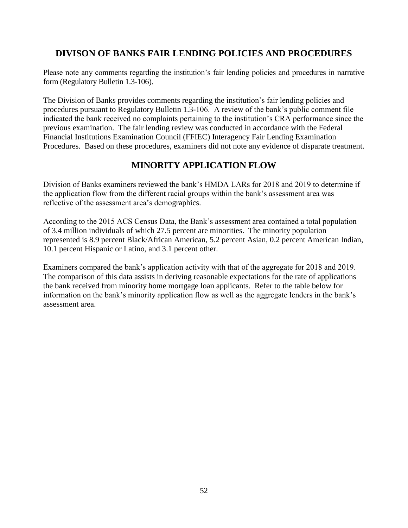# <span id="page-53-0"></span>**DIVISON OF BANKS FAIR LENDING POLICIES AND PROCEDURES**

Please note any comments regarding the institution's fair lending policies and procedures in narrative form (Regulatory Bulletin 1.3-106).

The Division of Banks provides comments regarding the institution's fair lending policies and procedures pursuant to Regulatory Bulletin 1.3-106. A review of the bank's public comment file indicated the bank received no complaints pertaining to the institution's CRA performance since the previous examination. The fair lending review was conducted in accordance with the Federal Financial Institutions Examination Council (FFIEC) Interagency Fair Lending Examination Procedures. Based on these procedures, examiners did not note any evidence of disparate treatment.

# **MINORITY APPLICATION FLOW**

Division of Banks examiners reviewed the bank's HMDA LARs for 2018 and 2019 to determine if the application flow from the different racial groups within the bank's assessment area was reflective of the assessment area's demographics.

According to the 2015 ACS Census Data, the Bank's assessment area contained a total population of 3.4 million individuals of which 27.5 percent are minorities. The minority population represented is 8.9 percent Black/African American, 5.2 percent Asian, 0.2 percent American Indian, 10.1 percent Hispanic or Latino, and 3.1 percent other.

Examiners compared the bank's application activity with that of the aggregate for 2018 and 2019. The comparison of this data assists in deriving reasonable expectations for the rate of applications the bank received from minority home mortgage loan applicants. Refer to the table below for information on the bank's minority application flow as well as the aggregate lenders in the bank's assessment area.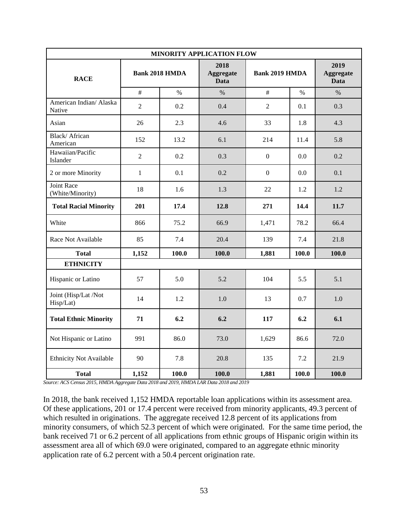| MINORITY APPLICATION FLOW             |                       |       |                                         |                       |       |                                         |  |  |
|---------------------------------------|-----------------------|-------|-----------------------------------------|-----------------------|-------|-----------------------------------------|--|--|
| <b>RACE</b>                           | <b>Bank 2018 HMDA</b> |       | 2018<br><b>Aggregate</b><br><b>Data</b> | <b>Bank 2019 HMDA</b> |       | 2019<br><b>Aggregate</b><br><b>Data</b> |  |  |
|                                       | $\#$                  | $\%$  | $\%$                                    | $\#$                  | $\%$  | $\%$                                    |  |  |
| American Indian/ Alaska<br>Native     | $\overline{2}$        | 0.2   | 0.4                                     | $\overline{2}$        | 0.1   | 0.3                                     |  |  |
| Asian                                 | 26                    | 2.3   | 4.6                                     | 33                    | 1.8   | 4.3                                     |  |  |
| Black/African<br>American             | 152                   | 13.2  | 6.1                                     | 214                   | 11.4  | 5.8                                     |  |  |
| Hawaiian/Pacific<br>Islander          | $\overline{2}$        | 0.2   | 0.3                                     | $\boldsymbol{0}$      | 0.0   | 0.2                                     |  |  |
| 2 or more Minority                    | $\mathbf{1}$          | 0.1   | 0.2                                     | $\boldsymbol{0}$      | 0.0   | 0.1                                     |  |  |
| <b>Joint Race</b><br>(White/Minority) | 18                    | 1.6   | 1.3                                     | 22                    | 1.2   | 1.2                                     |  |  |
| <b>Total Racial Minority</b>          | 201                   | 17.4  | 12.8                                    | 271                   | 14.4  | 11.7                                    |  |  |
| White                                 | 866                   | 75.2  | 66.9                                    | 1,471                 | 78.2  | 66.4                                    |  |  |
| Race Not Available                    | 85                    | 7.4   | 20.4                                    | 139                   | 7.4   | 21.8                                    |  |  |
| <b>Total</b>                          | 1,152                 | 100.0 | 100.0                                   | 1,881                 | 100.0 | 100.0                                   |  |  |
| <b>ETHNICITY</b>                      |                       |       |                                         |                       |       |                                         |  |  |
| Hispanic or Latino                    | 57                    | 5.0   | 5.2                                     | 104                   | 5.5   | 5.1                                     |  |  |
| Joint (Hisp/Lat /Not<br>Hisp/Lat)     | 14                    | 1.2   | 1.0                                     | 13                    | 0.7   | 1.0                                     |  |  |
| <b>Total Ethnic Minority</b>          | 71                    | 6.2   | 6.2                                     | 117                   | 6.2   | 6.1                                     |  |  |
| Not Hispanic or Latino                | 991                   | 86.0  | 73.0                                    | 1,629                 | 86.6  | 72.0                                    |  |  |
| <b>Ethnicity Not Available</b>        | 90                    | 7.8   | 20.8                                    | 135                   | 7.2   | 21.9                                    |  |  |
| <b>Total</b>                          | 1,152                 | 100.0 | 100.0                                   | 1,881                 | 100.0 | 100.0                                   |  |  |

*Source: ACS Census 2015, HMDA Aggregate Data 2018 and 2019, HMDA LAR Data 2018 and 2019* 

In 2018, the bank received 1,152 HMDA reportable loan applications within its assessment area. Of these applications, 201 or 17.4 percent were received from minority applicants, 49.3 percent of which resulted in originations. The aggregate received 12.8 percent of its applications from minority consumers, of which 52.3 percent of which were originated. For the same time period, the bank received 71 or 6.2 percent of all applications from ethnic groups of Hispanic origin within its assessment area all of which 69.0 were originated, compared to an aggregate ethnic minority application rate of 6.2 percent with a 50.4 percent origination rate.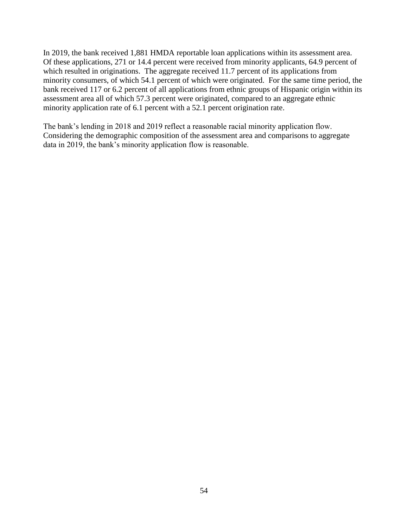In 2019, the bank received 1,881 HMDA reportable loan applications within its assessment area. Of these applications, 271 or 14.4 percent were received from minority applicants, 64.9 percent of which resulted in originations. The aggregate received 11.7 percent of its applications from minority consumers, of which 54.1 percent of which were originated. For the same time period, the bank received 117 or 6.2 percent of all applications from ethnic groups of Hispanic origin within its assessment area all of which 57.3 percent were originated, compared to an aggregate ethnic minority application rate of 6.1 percent with a 52.1 percent origination rate.

The bank's lending in 2018 and 2019 reflect a reasonable racial minority application flow. Considering the demographic composition of the assessment area and comparisons to aggregate data in 2019, the bank's minority application flow is reasonable.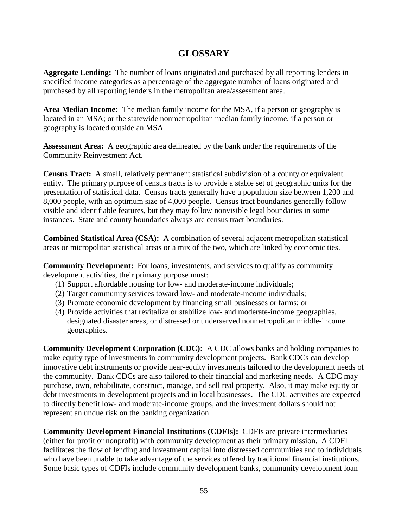# **GLOSSARY**

<span id="page-56-0"></span>**Aggregate Lending:** The number of loans originated and purchased by all reporting lenders in specified income categories as a percentage of the aggregate number of loans originated and purchased by all reporting lenders in the metropolitan area/assessment area.

**Area Median Income:** The median family income for the MSA, if a person or geography is located in an MSA; or the statewide nonmetropolitan median family income, if a person or geography is located outside an MSA*.*

**Assessment Area:** A geographic area delineated by the bank under the requirements of the Community Reinvestment Act.

**Census Tract:** A small, relatively permanent statistical subdivision of a county or equivalent entity. The primary purpose of census tracts is to provide a stable set of geographic units for the presentation of statistical data. Census tracts generally have a population size between 1,200 and 8,000 people, with an optimum size of 4,000 people. Census tract boundaries generally follow visible and identifiable features, but they may follow nonvisible legal boundaries in some instances. State and county boundaries always are census tract boundaries.

**Combined Statistical Area (CSA):** A combination of several adjacent metropolitan statistical areas or micropolitan statistical areas or a mix of the two, which are linked by economic ties.

**Community Development:** For loans, investments, and services to qualify as community development activities, their primary purpose must:

- (1) Support affordable housing for low- and moderate-income individuals;
- (2) Target community services toward low- and moderate-income individuals;
- (3) Promote economic development by financing small businesses or farms; or
- (4) Provide activities that revitalize or stabilize low- and moderate-income geographies, designated disaster areas, or distressed or underserved nonmetropolitan middle-income geographies.

**Community Development Corporation (CDC):** A CDC allows banks and holding companies to make equity type of investments in community development projects. Bank CDCs can develop innovative debt instruments or provide near-equity investments tailored to the development needs of the community. Bank CDCs are also tailored to their financial and marketing needs. A CDC may purchase, own, rehabilitate, construct, manage, and sell real property. Also, it may make equity or debt investments in development projects and in local businesses. The CDC activities are expected to directly benefit low- and moderate-income groups, and the investment dollars should not represent an undue risk on the banking organization.

**Community Development Financial Institutions (CDFIs):** CDFIs are private intermediaries (either for profit or nonprofit) with community development as their primary mission. A CDFI facilitates the flow of lending and investment capital into distressed communities and to individuals who have been unable to take advantage of the services offered by traditional financial institutions. Some basic types of CDFIs include community development banks, community development loan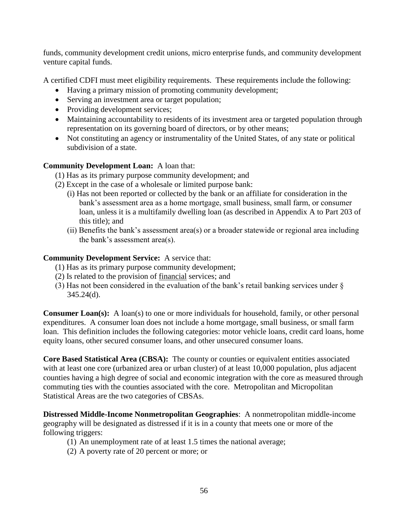funds, community development credit unions, micro enterprise funds, and community development venture capital funds.

A certified CDFI must meet eligibility requirements. These requirements include the following:

- Having a primary mission of promoting community development;
- Serving an investment area or target population;
- Providing development services;
- Maintaining accountability to residents of its investment area or targeted population through representation on its governing board of directors, or by other means;
- Not constituting an agency or instrumentality of the United States, of any state or political subdivision of a state.

## **Community Development Loan:** A loan that:

(1) Has as its primary purpose community development; and

- (2) Except in the case of a wholesale or limited purpose bank:
	- (i) Has not been reported or collected by the bank or an affiliate for consideration in the bank's assessment area as a home mortgage, small business, small farm, or consumer loan, unless it is a multifamily dwelling loan (as described in Appendix A to Part 203 of this title); and
	- (ii) Benefits the bank's assessment area(s) or a broader statewide or regional area including the bank's assessment area(s).

## **Community Development Service:** A service that:

- (1) Has as its primary purpose community development;
- (2) Is related to the provision of financial services; and
- (3) Has not been considered in the evaluation of the bank's retail banking services under § 345.24(d).

**Consumer Loan(s):** A loan(s) to one or more individuals for household, family, or other personal expenditures. A consumer loan does not include a home mortgage, small business, or small farm loan. This definition includes the following categories: motor vehicle loans, credit card loans, home equity loans, other secured consumer loans, and other unsecured consumer loans.

**Core Based Statistical Area (CBSA):** The county or counties or equivalent entities associated with at least one core (urbanized area or urban cluster) of at least 10,000 population, plus adjacent counties having a high degree of social and economic integration with the core as measured through commuting ties with the counties associated with the core. Metropolitan and Micropolitan Statistical Areas are the two categories of CBSAs.

**Distressed Middle-Income Nonmetropolitan Geographies**: A nonmetropolitan middle-income geography will be designated as distressed if it is in a county that meets one or more of the following triggers:

- (1) An unemployment rate of at least 1.5 times the national average;
- (2) A poverty rate of 20 percent or more; or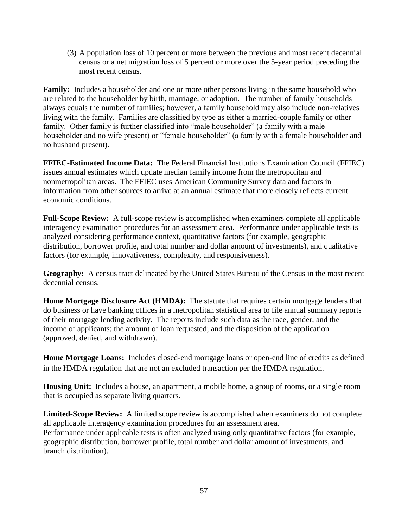(3) A population loss of 10 percent or more between the previous and most recent decennial census or a net migration loss of 5 percent or more over the 5-year period preceding the most recent census.

**Family:** Includes a householder and one or more other persons living in the same household who are related to the householder by birth, marriage, or adoption. The number of family households always equals the number of families; however, a family household may also include non-relatives living with the family. Families are classified by type as either a married-couple family or other family. Other family is further classified into "male householder" (a family with a male householder and no wife present) or "female householder" (a family with a female householder and no husband present).

**FFIEC-Estimated Income Data:** The Federal Financial Institutions Examination Council (FFIEC) issues annual estimates which update median family income from the metropolitan and nonmetropolitan areas. The FFIEC uses American Community Survey data and factors in information from other sources to arrive at an annual estimate that more closely reflects current economic conditions.

**Full-Scope Review:** A full-scope review is accomplished when examiners complete all applicable interagency examination procedures for an assessment area. Performance under applicable tests is analyzed considering performance context, quantitative factors (for example, geographic distribution, borrower profile, and total number and dollar amount of investments), and qualitative factors (for example, innovativeness, complexity, and responsiveness).

**Geography:** A census tract delineated by the United States Bureau of the Census in the most recent decennial census.

**Home Mortgage Disclosure Act (HMDA):** The statute that requires certain mortgage lenders that do business or have banking offices in a metropolitan statistical area to file annual summary reports of their mortgage lending activity. The reports include such data as the race, gender, and the income of applicants; the amount of loan requested; and the disposition of the application (approved, denied, and withdrawn).

**Home Mortgage Loans:** Includes closed-end mortgage loans or open-end line of credits as defined in the HMDA regulation that are not an excluded transaction per the HMDA regulation.

**Housing Unit:** Includes a house, an apartment, a mobile home, a group of rooms, or a single room that is occupied as separate living quarters.

**Limited-Scope Review:** A limited scope review is accomplished when examiners do not complete all applicable interagency examination procedures for an assessment area. Performance under applicable tests is often analyzed using only quantitative factors (for example, geographic distribution, borrower profile, total number and dollar amount of investments, and branch distribution).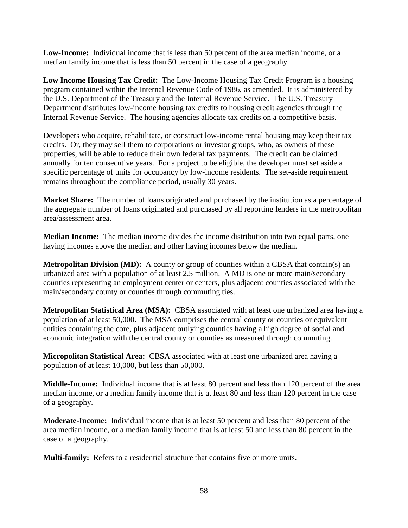**Low-Income:** Individual income that is less than 50 percent of the area median income, or a median family income that is less than 50 percent in the case of a geography.

**Low Income Housing Tax Credit:** The Low-Income Housing Tax Credit Program is a housing program contained within the Internal Revenue Code of 1986, as amended. It is administered by the U.S. Department of the Treasury and the Internal Revenue Service. The U.S. Treasury Department distributes low-income housing tax credits to housing credit agencies through the Internal Revenue Service. The housing agencies allocate tax credits on a competitive basis.

Developers who acquire, rehabilitate, or construct low-income rental housing may keep their tax credits. Or, they may sell them to corporations or investor groups, who, as owners of these properties, will be able to reduce their own federal tax payments. The credit can be claimed annually for ten consecutive years. For a project to be eligible, the developer must set aside a specific percentage of units for occupancy by low-income residents. The set-aside requirement remains throughout the compliance period, usually 30 years.

**Market Share:** The number of loans originated and purchased by the institution as a percentage of the aggregate number of loans originated and purchased by all reporting lenders in the metropolitan area/assessment area.

**Median Income:** The median income divides the income distribution into two equal parts, one having incomes above the median and other having incomes below the median.

**Metropolitan Division (MD):** A county or group of counties within a CBSA that contain(s) an urbanized area with a population of at least 2.5 million. A MD is one or more main/secondary counties representing an employment center or centers, plus adjacent counties associated with the main/secondary county or counties through commuting ties.

**Metropolitan Statistical Area (MSA):** CBSA associated with at least one urbanized area having a population of at least 50,000. The MSA comprises the central county or counties or equivalent entities containing the core, plus adjacent outlying counties having a high degree of social and economic integration with the central county or counties as measured through commuting.

**Micropolitan Statistical Area:** CBSA associated with at least one urbanized area having a population of at least 10,000, but less than 50,000.

**Middle-Income:** Individual income that is at least 80 percent and less than 120 percent of the area median income, or a median family income that is at least 80 and less than 120 percent in the case of a geography.

**Moderate-Income:** Individual income that is at least 50 percent and less than 80 percent of the area median income, or a median family income that is at least 50 and less than 80 percent in the case of a geography.

**Multi-family:** Refers to a residential structure that contains five or more units.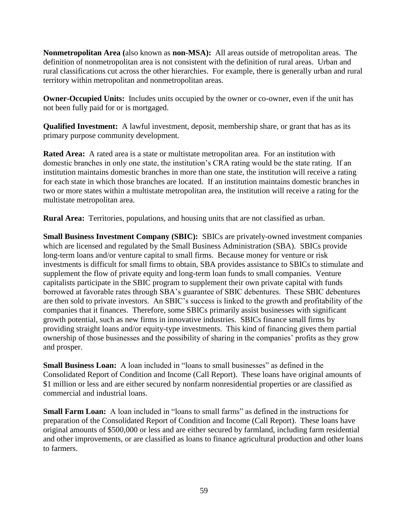**Nonmetropolitan Area (**also known as **non-MSA):** All areas outside of metropolitan areas. The definition of nonmetropolitan area is not consistent with the definition of rural areas. Urban and rural classifications cut across the other hierarchies. For example, there is generally urban and rural territory within metropolitan and nonmetropolitan areas.

**Owner-Occupied Units:** Includes units occupied by the owner or co-owner, even if the unit has not been fully paid for or is mortgaged.

**Qualified Investment:** A lawful investment, deposit, membership share, or grant that has as its primary purpose community development.

**Rated Area:** A rated area is a state or multistate metropolitan area. For an institution with domestic branches in only one state, the institution's CRA rating would be the state rating. If an institution maintains domestic branches in more than one state, the institution will receive a rating for each state in which those branches are located. If an institution maintains domestic branches in two or more states within a multistate metropolitan area, the institution will receive a rating for the multistate metropolitan area.

**Rural Area:** Territories, populations, and housing units that are not classified as urban.

**Small Business Investment Company (SBIC):** SBICs are privately-owned investment companies which are licensed and regulated by the Small Business Administration (SBA). SBICs provide long-term loans and/or venture capital to small firms. Because money for venture or risk investments is difficult for small firms to obtain, SBA provides assistance to SBICs to stimulate and supplement the flow of private equity and long-term loan funds to small companies. Venture capitalists participate in the SBIC program to supplement their own private capital with funds borrowed at favorable rates through SBA's guarantee of SBIC debentures. These SBIC debentures are then sold to private investors. An SBIC's success is linked to the growth and profitability of the companies that it finances. Therefore, some SBICs primarily assist businesses with significant growth potential, such as new firms in innovative industries. SBICs finance small firms by providing straight loans and/or equity-type investments. This kind of financing gives them partial ownership of those businesses and the possibility of sharing in the companies' profits as they grow and prosper.

**Small Business Loan:** A loan included in "loans to small businesses" as defined in the Consolidated Report of Condition and Income (Call Report). These loans have original amounts of \$1 million or less and are either secured by nonfarm nonresidential properties or are classified as commercial and industrial loans.

**Small Farm Loan:** A loan included in "loans to small farms" as defined in the instructions for preparation of the Consolidated Report of Condition and Income (Call Report). These loans have original amounts of \$500,000 or less and are either secured by farmland, including farm residential and other improvements, or are classified as loans to finance agricultural production and other loans to farmers.